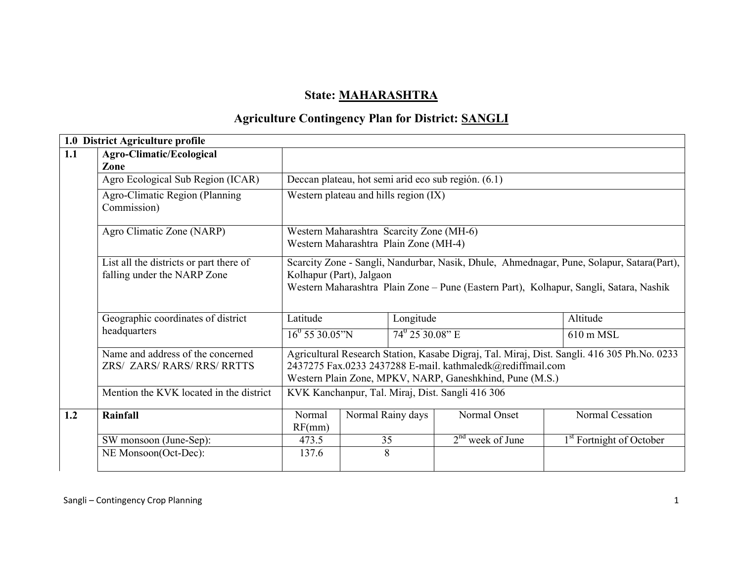# State: MAHARASHTRA

# Agriculture Contingency Plan for District: SANGLI

|     | 1.0 District Agriculture profile                                       |                                                                                                                                                                                                                 |                   |                         |                                                                                                                        |                                                                                             |  |  |
|-----|------------------------------------------------------------------------|-----------------------------------------------------------------------------------------------------------------------------------------------------------------------------------------------------------------|-------------------|-------------------------|------------------------------------------------------------------------------------------------------------------------|---------------------------------------------------------------------------------------------|--|--|
| 1.1 | Agro-Climatic/Ecological<br>Zone                                       |                                                                                                                                                                                                                 |                   |                         |                                                                                                                        |                                                                                             |  |  |
|     | Agro Ecological Sub Region (ICAR)                                      |                                                                                                                                                                                                                 |                   |                         | Deccan plateau, hot semi arid eco sub región. (6.1)                                                                    |                                                                                             |  |  |
|     | Agro-Climatic Region (Planning<br>Commission)                          | Western plateau and hills region (IX)                                                                                                                                                                           |                   |                         |                                                                                                                        |                                                                                             |  |  |
|     | Agro Climatic Zone (NARP)                                              | Western Maharashtra Scarcity Zone (MH-6)                                                                                                                                                                        |                   |                         |                                                                                                                        |                                                                                             |  |  |
|     |                                                                        | Western Maharashtra Plain Zone (MH-4)                                                                                                                                                                           |                   |                         |                                                                                                                        |                                                                                             |  |  |
|     | List all the districts or part there of<br>falling under the NARP Zone | Scarcity Zone - Sangli, Nandurbar, Nasik, Dhule, Ahmednagar, Pune, Solapur, Satara(Part),<br>Kolhapur (Part), Jalgaon<br>Western Maharashtra Plain Zone – Pune (Eastern Part), Kolhapur, Sangli, Satara, Nashik |                   |                         |                                                                                                                        |                                                                                             |  |  |
|     | Geographic coordinates of district                                     | Latitude                                                                                                                                                                                                        |                   | Longitude               |                                                                                                                        | Altitude                                                                                    |  |  |
|     | headquarters                                                           | $16^0$ 55 30.05"N                                                                                                                                                                                               |                   | $74^{\circ} 2530.08"$ E |                                                                                                                        | $610 \text{ m}$ MSL                                                                         |  |  |
|     | Name and address of the concerned<br>ZRS/ ZARS/ RARS/ RRS/ RRTTS       |                                                                                                                                                                                                                 |                   |                         | 2437275 Fax.0233 2437288 E-mail. kathmaledk@rediffmail.com<br>Western Plain Zone, MPKV, NARP, Ganeshkhind, Pune (M.S.) | Agricultural Research Station, Kasabe Digraj, Tal. Miraj, Dist. Sangli. 416 305 Ph.No. 0233 |  |  |
|     | Mention the KVK located in the district                                |                                                                                                                                                                                                                 |                   |                         | KVK Kanchanpur, Tal. Miraj, Dist. Sangli 416 306                                                                       |                                                                                             |  |  |
| 1.2 | Rainfall                                                               | Normal<br>RF(mm)                                                                                                                                                                                                | Normal Rainy days |                         | Normal Onset                                                                                                           | Normal Cessation                                                                            |  |  |
|     | SW monsoon (June-Sep):                                                 | 473.5                                                                                                                                                                                                           | 35                |                         | $2nd$ week of June                                                                                                     | 1 <sup>st</sup> Fortnight of October                                                        |  |  |
|     | NE Monsoon(Oct-Dec):                                                   | 137.6                                                                                                                                                                                                           | 8                 |                         |                                                                                                                        |                                                                                             |  |  |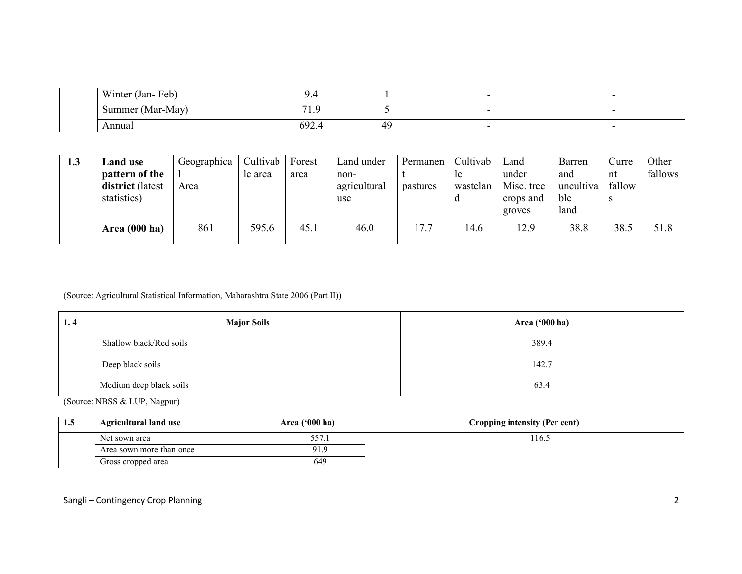| Winter (Jan-Feb) | ີ<br>У.Ч    |  |  |
|------------------|-------------|--|--|
| Summer (Mar-May) | $-1$<br>ر ا |  |  |
| Annual           | 692.4       |  |  |

| 1.3 | <b>Land use</b><br>pattern of the<br>district (latest<br>statistics) | Geographica<br>Area | Cultivab<br>le area | Forest<br>area | Land under<br>non-<br>agricultural<br>use | Permanen<br>pastures | Cultivab<br><sub>le</sub><br>wastelan | Land<br>under<br>Misc. tree<br>crops and<br>groves | Barren<br>and<br>uncultiva<br>ble<br>land | Curre<br>nt<br>fallow<br>S | Other<br>fallows |
|-----|----------------------------------------------------------------------|---------------------|---------------------|----------------|-------------------------------------------|----------------------|---------------------------------------|----------------------------------------------------|-------------------------------------------|----------------------------|------------------|
|     | <b>Area</b> (000 ha)                                                 | 861                 | 595.6               | 45.1           | 46.0                                      | 17.7                 | 14.6                                  | 12.9                                               | 38.8                                      | 38.5                       | 51.8             |

#### (Source: Agricultural Statistical Information, Maharashtra State 2006 (Part II))

| 1.4 | <b>Major Soils</b>      | <b>Area ('000 ha)</b> |
|-----|-------------------------|-----------------------|
|     | Shallow black/Red soils | 389.4                 |
|     | Deep black soils        | 142.7                 |
|     | Medium deep black soils | 63.4                  |

(Source: NBSS & LUP, Nagpur)

| 1.5 | <b>Agricultural land use</b> | Area $(900 \text{ ha})$ | Cropping intensity (Per cent) |
|-----|------------------------------|-------------------------|-------------------------------|
|     | Net sown area                | 557.1                   | '16.5                         |
|     | Area sown more than once     | 01 O                    |                               |
|     | Gross cropped area           | 649                     |                               |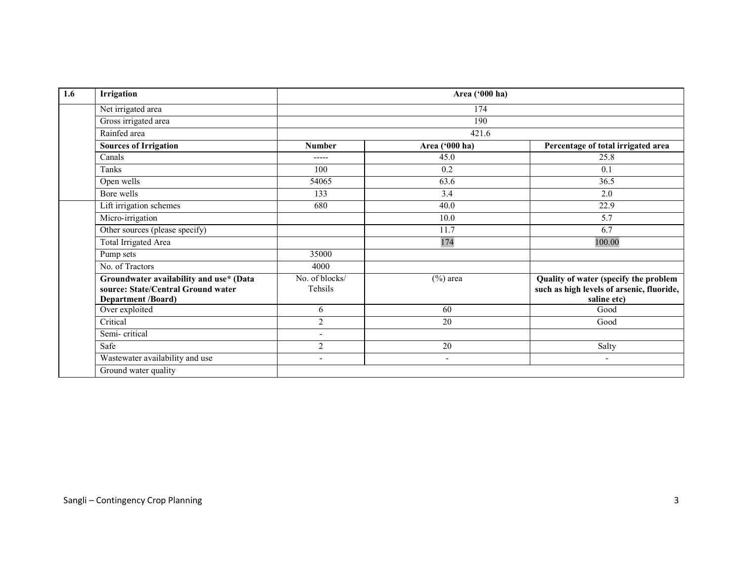| 1.6 | Irrigation                                                                                                 |                           | Area ('000 ha)           |                                                                                                   |
|-----|------------------------------------------------------------------------------------------------------------|---------------------------|--------------------------|---------------------------------------------------------------------------------------------------|
|     | Net irrigated area                                                                                         |                           | 174                      |                                                                                                   |
|     | Gross irrigated area                                                                                       |                           | 190                      |                                                                                                   |
|     | Rainfed area                                                                                               |                           | 421.6                    |                                                                                                   |
|     | <b>Sources of Irrigation</b>                                                                               | <b>Number</b>             | Area ('000 ha)           | Percentage of total irrigated area                                                                |
|     | Canals                                                                                                     | -----                     | 45.0                     | 25.8                                                                                              |
|     | Tanks                                                                                                      | 100                       | 0.2                      | 0.1                                                                                               |
|     | Open wells                                                                                                 | 54065                     | 63.6                     | 36.5                                                                                              |
|     | Bore wells                                                                                                 | 133                       | 3.4                      | 2.0                                                                                               |
|     | Lift irrigation schemes                                                                                    | 680                       | 40.0                     | 22.9                                                                                              |
|     | Micro-irrigation                                                                                           |                           | 10.0                     | $\overline{5.7}$                                                                                  |
|     | Other sources (please specify)                                                                             |                           | 11.7                     | 6.7                                                                                               |
|     | <b>Total Irrigated Area</b>                                                                                |                           | 174                      | 100.00                                                                                            |
|     | Pump sets                                                                                                  | 35000                     |                          |                                                                                                   |
|     | No. of Tractors                                                                                            | 4000                      |                          |                                                                                                   |
|     | Groundwater availability and use* (Data<br>source: State/Central Ground water<br><b>Department /Board)</b> | No. of blocks/<br>Tehsils | $(\% )$ area             | Quality of water (specify the problem<br>such as high levels of arsenic, fluoride,<br>saline etc) |
|     | Over exploited                                                                                             | 6                         | 60                       | Good                                                                                              |
|     | Critical                                                                                                   | $\overline{2}$            | 20                       | Good                                                                                              |
|     | Semi-critical                                                                                              | $\overline{\phantom{a}}$  |                          |                                                                                                   |
|     | Safe                                                                                                       | $\overline{2}$            | 20                       | Salty                                                                                             |
|     | Wastewater availability and use                                                                            | $\blacksquare$            | $\overline{\phantom{a}}$ | $\overline{\phantom{a}}$                                                                          |
|     | Ground water quality                                                                                       |                           |                          |                                                                                                   |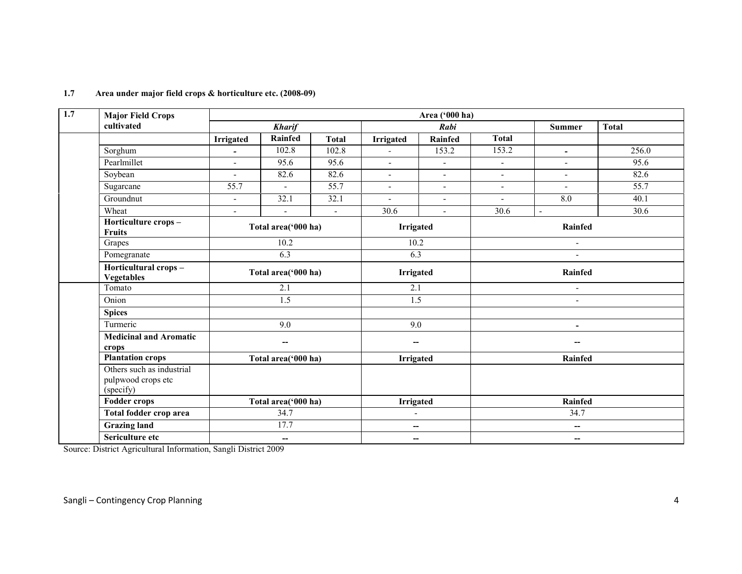| 1.7 | <b>Major Field Crops</b>                                     |                          |                          |                   | Area ('000 ha)           |                          |                          |                          |              |  |
|-----|--------------------------------------------------------------|--------------------------|--------------------------|-------------------|--------------------------|--------------------------|--------------------------|--------------------------|--------------|--|
|     | cultivated                                                   |                          | <b>Kharif</b>            |                   |                          | Rabi                     |                          | <b>Summer</b>            | <b>Total</b> |  |
|     |                                                              | <b>Irrigated</b>         | <b>Rainfed</b>           | <b>Total</b>      | <b>Irrigated</b>         | Rainfed                  | <b>Total</b>             |                          |              |  |
|     | Sorghum                                                      | $\overline{\phantom{0}}$ | 102.8                    | 102.8             | $\overline{\phantom{a}}$ | 153.2                    | 153.2                    | $\overline{\phantom{a}}$ | 256.0        |  |
|     | Pearlmillet                                                  | $\mathbf{r}$             | 95.6                     | 95.6              | $\sim$                   | $\blacksquare$           | $\blacksquare$           | $\sim$                   | 95.6         |  |
|     | Soybean                                                      | $\overline{a}$           | 82.6                     | 82.6              | $\sim$                   | $\blacksquare$           | $\overline{\phantom{a}}$ | $\overline{\phantom{a}}$ | 82.6         |  |
|     | Sugarcane                                                    | $\overline{55.7}$        | $\blacksquare$           | $\overline{55.7}$ | $\blacksquare$           | $\blacksquare$           | $\overline{\phantom{a}}$ | $\overline{\phantom{a}}$ | 55.7         |  |
|     | Groundnut                                                    | $\blacksquare$           | 32.1                     | 32.1              | $\blacksquare$           | $\blacksquare$           | $\blacksquare$           | 8.0                      | 40.1         |  |
|     | Wheat                                                        | $\blacksquare$           | $\overline{\phantom{a}}$ | $\blacksquare$    | 30.6                     | $\blacksquare$           | 30.6                     | $\blacksquare$           | 30.6         |  |
|     | Horticulture crops-<br><b>Fruits</b>                         |                          | Total area('000 ha)      |                   |                          | <b>Irrigated</b>         |                          | Rainfed                  |              |  |
|     | Grapes                                                       | 10.2                     |                          |                   | 10.2                     |                          | $\blacksquare$           |                          |              |  |
|     | Pomegranate                                                  |                          | 6.3                      |                   | 6.3                      |                          | $\overline{a}$           |                          |              |  |
|     | Horticultural crops-<br><b>Vegetables</b>                    | Total area('000 ha)      |                          |                   | <b>Irrigated</b>         |                          | Rainfed                  |                          |              |  |
|     | Tomato                                                       |                          | 2.1                      |                   |                          | 2.1                      |                          | $\blacksquare$           |              |  |
|     | Onion                                                        |                          | $\overline{1.5}$         |                   |                          | $\overline{1.5}$         |                          | $\blacksquare$           |              |  |
|     | <b>Spices</b>                                                |                          |                          |                   |                          |                          |                          |                          |              |  |
|     | Turmeric                                                     |                          | 9.0                      |                   | 9.0                      |                          |                          | ۰                        |              |  |
|     | <b>Medicinal and Aromatic</b><br>crops                       |                          | --                       |                   | $\overline{\phantom{a}}$ |                          |                          |                          |              |  |
|     | <b>Plantation crops</b>                                      |                          | Total area('000 ha)      |                   | <b>Irrigated</b>         |                          |                          | Rainfed                  |              |  |
|     | Others such as industrial<br>pulpwood crops etc<br>(specify) |                          |                          |                   |                          |                          |                          |                          |              |  |
|     | <b>Fodder crops</b>                                          |                          | Total area('000 ha)      |                   | <b>Irrigated</b>         |                          |                          | Rainfed                  |              |  |
|     | Total fodder crop area                                       |                          | 34.7                     |                   | $\blacksquare$           |                          |                          | 34.7                     |              |  |
|     | <b>Grazing land</b>                                          |                          | 17.7                     |                   |                          | $\overline{\phantom{a}}$ |                          | $\overline{\phantom{a}}$ |              |  |
|     | Sericulture etc                                              |                          | $\overline{\phantom{m}}$ |                   | $\overline{\phantom{a}}$ |                          |                          | $\overline{\phantom{a}}$ |              |  |

#### 1.7 Area under major field crops & horticulture etc. (2008-09)

Source: District Agricultural Information, Sangli District 2009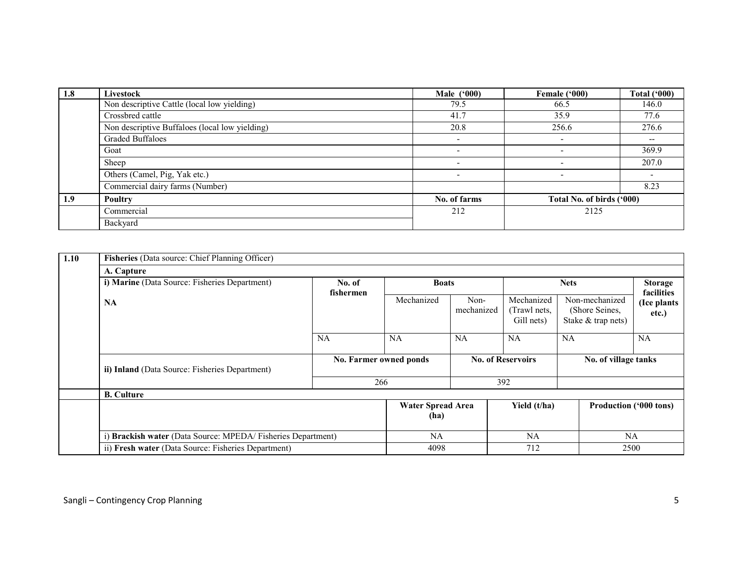| 1.8 | Livestock                                      | <b>Male</b> ('000)       | Female ('000)             | <b>Total ('000)</b>      |
|-----|------------------------------------------------|--------------------------|---------------------------|--------------------------|
|     | Non descriptive Cattle (local low yielding)    | 79.5                     | 66.5                      | 146.0                    |
|     | Crossbred cattle                               | 41.7                     | 35.9                      | 77.6                     |
|     | Non descriptive Buffaloes (local low yielding) | 20.8                     | 256.6                     | 276.6                    |
|     | Graded Buffaloes                               |                          |                           | $\overline{\phantom{m}}$ |
|     | Goat                                           |                          |                           | 369.9                    |
|     | Sheep                                          | $\overline{\phantom{0}}$ |                           | 207.0                    |
|     | Others (Camel, Pig, Yak etc.)                  | $\overline{\phantom{0}}$ |                           |                          |
|     | Commercial dairy farms (Number)                |                          |                           | 8.23                     |
| 1.9 | <b>Poultry</b>                                 | No. of farms             | Total No. of birds ('000) |                          |
|     | Commercial                                     | 212<br>2125              |                           |                          |
|     | Backyard                                       |                          |                           |                          |

| 1.10 | Fisheries (Data source: Chief Planning Officer)             |                        |                                  |                    |                                                  |                                                          |                              |
|------|-------------------------------------------------------------|------------------------|----------------------------------|--------------------|--------------------------------------------------|----------------------------------------------------------|------------------------------|
|      | A. Capture                                                  |                        |                                  |                    |                                                  |                                                          |                              |
|      | i) Marine (Data Source: Fisheries Department)               | No. of<br>fishermen    | <b>Boats</b>                     |                    | <b>Nets</b>                                      |                                                          | <b>Storage</b><br>facilities |
|      | <b>NA</b>                                                   |                        | Mechanized                       | Non-<br>mechanized | Mechanized<br>(Trawl nets,<br>Gill nets)         | Non-mechanized<br>(Shore Seines,<br>Stake $&$ trap nets) | (Ice plants<br>etc.)         |
|      |                                                             | <b>NA</b>              | <b>NA</b>                        | NA                 | <b>NA</b>                                        | NA                                                       | <b>NA</b>                    |
|      | ii) Inland (Data Source: Fisheries Department)              | No. Farmer owned ponds |                                  |                    | <b>No. of Reservoirs</b><br>No. of village tanks |                                                          |                              |
|      |                                                             | 266                    |                                  | 392                |                                                  |                                                          |                              |
|      | <b>B.</b> Culture                                           |                        |                                  |                    |                                                  |                                                          |                              |
|      |                                                             |                        | <b>Water Spread Area</b><br>(ha) |                    | Yield (t/ha)                                     | Production ('000 tons)                                   |                              |
|      | i) Brackish water (Data Source: MPEDA/Fisheries Department) |                        | NA                               |                    | NA                                               | NA                                                       |                              |
|      | ii) Fresh water (Data Source: Fisheries Department)         | 4098                   |                                  | 712                |                                                  | 2500                                                     |                              |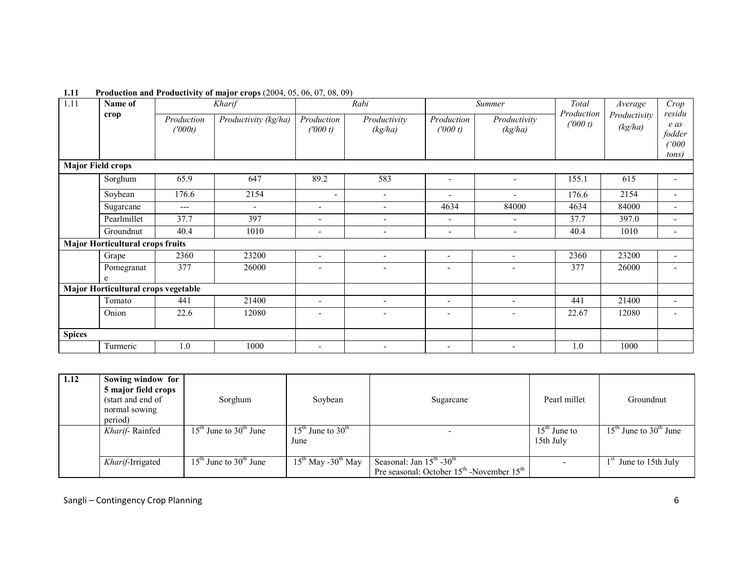| 1.11          | Name of                                 |                       | Kharif               |                          | Rabi                     |                          | Summer                   | Total                  | Average                 | Crop                                                      |
|---------------|-----------------------------------------|-----------------------|----------------------|--------------------------|--------------------------|--------------------------|--------------------------|------------------------|-------------------------|-----------------------------------------------------------|
|               | crop                                    | Production<br>(1000t) | Productivity (kg/ha) | Production<br>(1000 t)   | Productivity<br>(kg/ha)  | Production<br>(1000 t)   | Productivity<br>(kg/ha)  | Production<br>(1000 t) | Productivity<br>(kg/ha) | residu<br>e as<br>fodder<br>$^{\prime\prime}000$<br>tons) |
|               | <b>Major Field crops</b>                |                       |                      |                          |                          |                          |                          |                        |                         |                                                           |
|               | Sorghum                                 | 65.9                  | 647                  | 89.2                     | 583                      | ۰                        |                          | 155.1                  | 615                     |                                                           |
|               | Soybean                                 | 176.6                 | 2154                 | $\overline{\phantom{a}}$ | $\overline{\phantom{a}}$ | $\overline{\phantom{a}}$ |                          | 176.6                  | 2154                    | $\overline{a}$                                            |
|               | Sugarcane                               | ---                   | $\blacksquare$       | $\sim$                   | $\overline{\phantom{a}}$ | 4634                     | 84000                    | 4634                   | 84000                   | $\overline{\phantom{0}}$                                  |
|               | Pearlmillet                             | 37.7                  | 397                  | $\overline{\phantom{0}}$ | ٠                        | $\overline{\phantom{a}}$ |                          | 37.7                   | 397.0                   | $\overline{\phantom{0}}$                                  |
|               | Groundnut                               | 40.4                  | 1010                 | $\overline{\phantom{a}}$ | $\overline{\phantom{a}}$ | $\overline{\phantom{a}}$ | $\overline{\phantom{a}}$ | 40.4                   | 1010                    | $\overline{\phantom{a}}$                                  |
|               | <b>Major Horticultural crops fruits</b> |                       |                      |                          |                          |                          |                          |                        |                         |                                                           |
|               | Grape                                   | 2360                  | 23200                | $\overline{\phantom{a}}$ | $\overline{\phantom{a}}$ | $\overline{\phantom{a}}$ | $\overline{\phantom{a}}$ | 2360                   | 23200                   | $\overline{\phantom{a}}$                                  |
|               | Pomegranat<br>e                         | 377                   | 26000                | ۰                        | $\overline{\phantom{a}}$ |                          | ۰                        | 377                    | 26000                   |                                                           |
|               | Major Horticultural crops vegetable     |                       |                      |                          |                          |                          |                          |                        |                         |                                                           |
|               | Tomato                                  | 441                   | 21400                | $\overline{\phantom{0}}$ | ٠                        | $\blacksquare$           | $\overline{\phantom{a}}$ | 441                    | 21400                   | $\overline{\phantom{a}}$                                  |
|               | Onion                                   | 22.6                  | 12080                | ۰                        | $\qquad \qquad -$        | $\overline{\phantom{0}}$ |                          | 22.67                  | 12080                   |                                                           |
| <b>Spices</b> |                                         |                       |                      |                          |                          |                          |                          |                        |                         |                                                           |
|               | Turmeric                                | 1.0                   | 1000                 | $\qquad \qquad -$        | $\qquad \qquad -$        | $\qquad \qquad -$        |                          | 1.0                    | 1000                    |                                                           |

#### 1.11 Production and Productivity of major crops (2004, 05, 06, 07, 08, 09)

| 1.12 | Sowing window for<br>5 major field crops<br>(start and end of<br>normal sowing<br>period) | Sorghum                    | Soybean                                           | Sugarcane                                                                                         | Pearl millet                | Groundnut                  |
|------|-------------------------------------------------------------------------------------------|----------------------------|---------------------------------------------------|---------------------------------------------------------------------------------------------------|-----------------------------|----------------------------|
|      | Kharif-Rainfed                                                                            | $15th$ June to $30th$ June | $15^{\text{th}}$ June to $30^{\text{th}}$<br>June |                                                                                                   | $15th$ June to<br>15th July | $15th$ June to $30th$ June |
|      | Kharif-Irrigated                                                                          | $15th$ June to $30th$ June | $15^{th}$ May -30 <sup>th</sup> May               | Seasonal: Jan $15^{\text{th}}$ -30 <sup>th</sup><br>Pre seasonal: October $15th$ -November $15th$ |                             | June to 15th July          |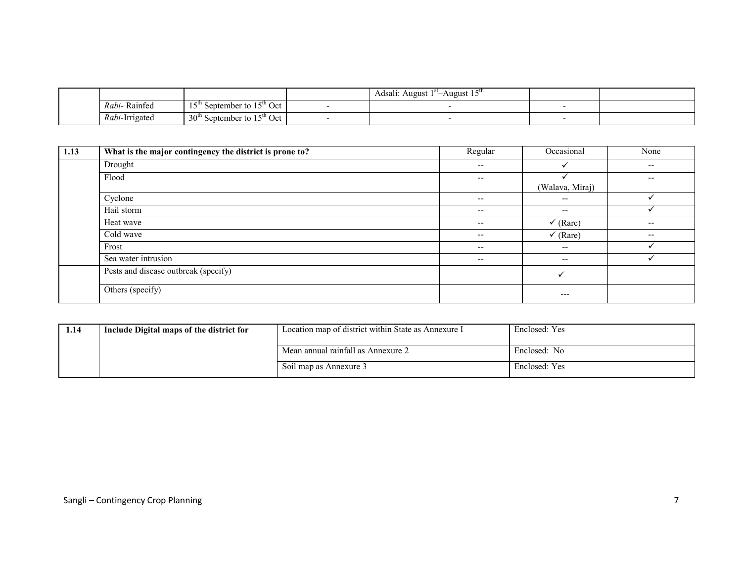|                        |                                                                         | . <i>–</i> u<br>Adsalı:<br>August<br>August 15 |  |
|------------------------|-------------------------------------------------------------------------|------------------------------------------------|--|
| $\sim$<br>Rabi-Rainfed | 1 FU.<br>$^{\circ}$ $\sim$ $^{\circ}$ Oct $\sim$<br>September to<br>∙ • |                                                |  |
| <i>Rabi</i> -Irrigated | 30 <sup>u</sup><br>15 <sup>th</sup> Oct<br>September to                 |                                                |  |

| 1.13 | What is the major contingency the district is prone to? | Regular                  | Occasional               | None                     |
|------|---------------------------------------------------------|--------------------------|--------------------------|--------------------------|
|      | Drought                                                 | $\overline{\phantom{m}}$ |                          | $\overline{\phantom{a}}$ |
|      | Flood                                                   | $\overline{\phantom{m}}$ |                          | $- -$                    |
|      |                                                         |                          | (Walava, Miraj)          |                          |
|      | Cyclone                                                 | $\overline{\phantom{m}}$ | --                       |                          |
|      | Hail storm                                              | $\overline{\phantom{m}}$ | --                       | ✓                        |
|      | Heat wave                                               | $\overline{\phantom{m}}$ | $\checkmark$ (Rare)      | $\overline{\phantom{a}}$ |
|      | Cold wave                                               | $\overline{\phantom{m}}$ | $\checkmark$ (Rare)      | $\overline{\phantom{a}}$ |
|      | Frost                                                   | $\overline{\phantom{m}}$ | --                       |                          |
|      | Sea water intrusion                                     | $\overline{\phantom{m}}$ | $\overline{\phantom{m}}$ |                          |
|      | Pests and disease outbreak (specify)                    |                          |                          |                          |
|      | Others (specify)                                        |                          | $---$                    |                          |

| 1.14 | Include Digital maps of the district for | Location map of district within State as Annexure I | Enclosed: Yes |
|------|------------------------------------------|-----------------------------------------------------|---------------|
|      |                                          | Mean annual rainfall as Annexure 2                  | Enclosed: No  |
|      |                                          | Soil map as Annexure 3                              | Enclosed: Yes |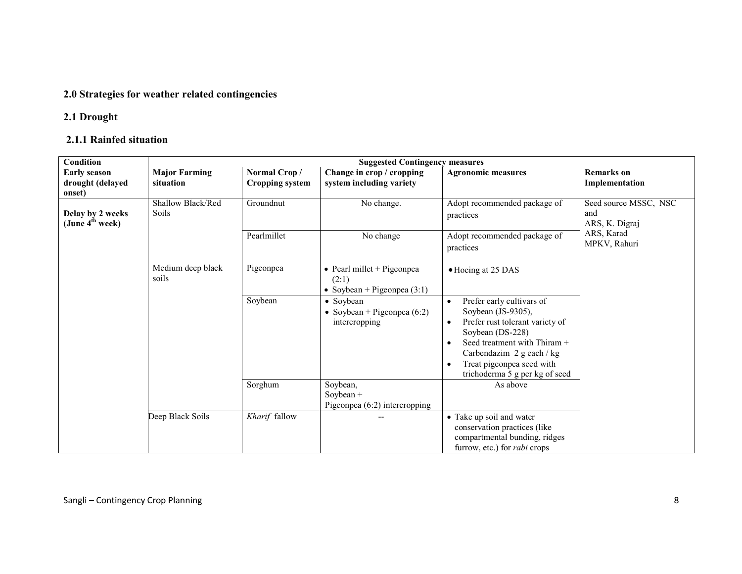## 2.0 Strategies for weather related contingencies

## 2.1 Drought

## 2.1.1 Rainfed situation

| <b>Condition</b>                                | <b>Suggested Contingency measures</b> |                        |                                    |                                                  |                       |  |
|-------------------------------------------------|---------------------------------------|------------------------|------------------------------------|--------------------------------------------------|-----------------------|--|
| <b>Early season</b>                             | <b>Major Farming</b>                  | Normal Crop/           | Change in crop / cropping          | <b>Agronomic measures</b>                        | <b>Remarks</b> on     |  |
| drought (delayed                                | situation                             | <b>Cropping system</b> | system including variety           |                                                  | Implementation        |  |
| onset)                                          |                                       |                        |                                    |                                                  |                       |  |
|                                                 | Shallow Black/Red                     | Groundnut              | No change.                         | Adopt recommended package of                     | Seed source MSSC, NSC |  |
| Delay by 2 weeks<br>(June 4 <sup>th</sup> week) | <b>Soils</b>                          |                        |                                    | practices                                        | and<br>ARS, K. Digraj |  |
|                                                 |                                       |                        |                                    |                                                  | ARS, Karad            |  |
|                                                 |                                       | Pearlmillet            | No change                          | Adopt recommended package of                     | MPKV, Rahuri          |  |
|                                                 |                                       |                        |                                    | practices                                        |                       |  |
|                                                 | Medium deep black                     | Pigeonpea              | $\bullet$ Pearl millet + Pigeonpea | • Hoeing at 25 DAS                               |                       |  |
|                                                 | soils                                 |                        | (2:1)                              |                                                  |                       |  |
|                                                 |                                       |                        | • Soybean + Pigeonpea $(3:1)$      |                                                  |                       |  |
|                                                 |                                       | Soybean                | • Soybean                          | Prefer early cultivars of                        |                       |  |
|                                                 |                                       |                        | • Soybean + Pigeonpea $(6:2)$      | Soybean (JS-9305),                               |                       |  |
|                                                 |                                       |                        | intercropping                      | Prefer rust tolerant variety of<br>$\bullet$     |                       |  |
|                                                 |                                       |                        |                                    | Soybean (DS-228)<br>Seed treatment with Thiram + |                       |  |
|                                                 |                                       |                        |                                    | Carbendazim 2 g each / kg                        |                       |  |
|                                                 |                                       |                        |                                    | Treat pigeonpea seed with<br>$\bullet$           |                       |  |
|                                                 |                                       |                        |                                    | trichoderma 5 g per kg of seed                   |                       |  |
|                                                 |                                       | Sorghum                | Soybean,                           | As above                                         |                       |  |
|                                                 |                                       |                        | Soybean $+$                        |                                                  |                       |  |
|                                                 |                                       |                        | Pigeonpea $(6:2)$ intercropping    |                                                  |                       |  |
|                                                 | Deep Black Soils                      | Kharif fallow          |                                    | • Take up soil and water                         |                       |  |
|                                                 |                                       |                        |                                    | conservation practices (like                     |                       |  |
|                                                 |                                       |                        |                                    | compartmental bunding, ridges                    |                       |  |
|                                                 |                                       |                        |                                    | furrow, etc.) for <i>rabi</i> crops              |                       |  |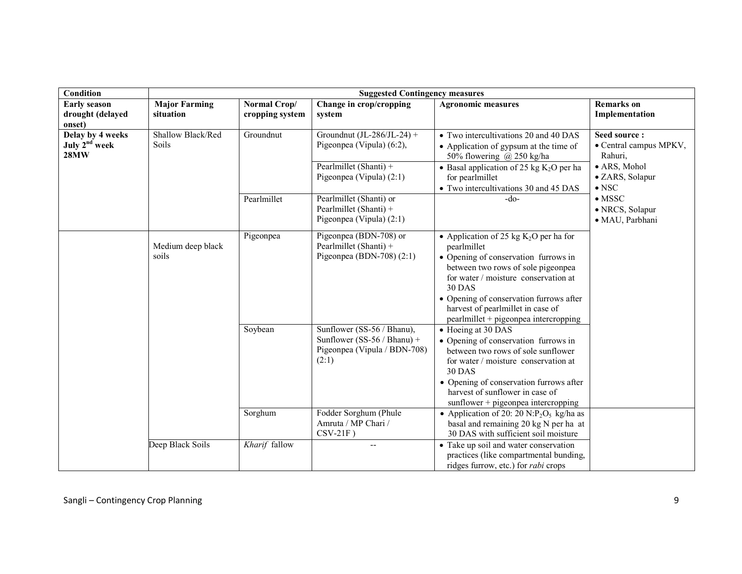| Condition                                                    | <b>Suggested Contingency measures</b> |                                 |                                                                                                    |                                                                                                                                                                                                                                                                                                                         |                                                      |  |
|--------------------------------------------------------------|---------------------------------------|---------------------------------|----------------------------------------------------------------------------------------------------|-------------------------------------------------------------------------------------------------------------------------------------------------------------------------------------------------------------------------------------------------------------------------------------------------------------------------|------------------------------------------------------|--|
| <b>Early season</b><br>drought (delayed<br>onset)            | <b>Major Farming</b><br>situation     | Normal Crop/<br>cropping system | Change in crop/cropping<br>system                                                                  | <b>Agronomic measures</b>                                                                                                                                                                                                                                                                                               | <b>Remarks</b> on<br>Implementation                  |  |
| Delay by 4 weeks<br>July 2 <sup>nd</sup> week<br><b>28MW</b> | Shallow Black/Red<br><b>Soils</b>     | Groundnut                       | Groundnut (JL-286/JL-24) +<br>Pigeonpea (Vipula) (6:2),                                            | • Two intercultivations 20 and 40 DAS<br>• Application of gypsum at the time of<br>50% flowering @ 250 kg/ha                                                                                                                                                                                                            | Seed source:<br>• Central campus MPKV,<br>Rahuri,    |  |
|                                                              |                                       |                                 | Pearlmillet (Shanti) +<br>Pigeonpea (Vipula) (2:1)                                                 | • Basal application of 25 kg $K_2O$ per ha<br>for pearlmillet<br>• Two intercultivations 30 and 45 DAS                                                                                                                                                                                                                  | · ARS, Mohol<br>· ZARS, Solapur<br>$\bullet$ NSC     |  |
|                                                              |                                       | Pearlmillet                     | Pearlmillet (Shanti) or<br>Pearlmillet (Shanti) +<br>Pigeonpea (Vipula) (2:1)                      | $-do-$                                                                                                                                                                                                                                                                                                                  | $\bullet$ MSSC<br>· NRCS, Solapur<br>· MAU, Parbhani |  |
|                                                              | Medium deep black<br>soils            | Pigeonpea                       | Pigeonpea (BDN-708) or<br>Pearlmillet (Shanti) +<br>Pigeonpea (BDN-708) $(2:1)$                    | • Application of 25 kg $K_2O$ per ha for<br>pearlmillet<br>• Opening of conservation furrows in<br>between two rows of sole pigeonpea<br>for water / moisture conservation at<br><b>30 DAS</b><br>• Opening of conservation furrows after<br>harvest of pearlmillet in case of<br>pearlmillet + pigeonpea intercropping |                                                      |  |
|                                                              |                                       | Soybean                         | Sunflower (SS-56 / Bhanu),<br>Sunflower (SS-56 / Bhanu) +<br>Pigeonpea (Vipula / BDN-708)<br>(2:1) | • Hoeing at 30 DAS<br>• Opening of conservation furrows in<br>between two rows of sole sunflower<br>for water / moisture conservation at<br><b>30 DAS</b><br>• Opening of conservation furrows after<br>harvest of sunflower in case of<br>sunflower + pigeonpea intercropping                                          |                                                      |  |
|                                                              |                                       | Sorghum                         | Fodder Sorghum (Phule<br>Amruta / MP Chari /<br>$CSV-21F$ )                                        | • Application of 20: 20 N:P <sub>2</sub> O <sub>5</sub> kg/ha as<br>basal and remaining 20 kg N per ha at<br>30 DAS with sufficient soil moisture                                                                                                                                                                       |                                                      |  |
|                                                              | Deep Black Soils                      | Kharif fallow                   | $-$                                                                                                | • Take up soil and water conservation<br>practices (like compartmental bunding,<br>ridges furrow, etc.) for <i>rabi</i> crops                                                                                                                                                                                           |                                                      |  |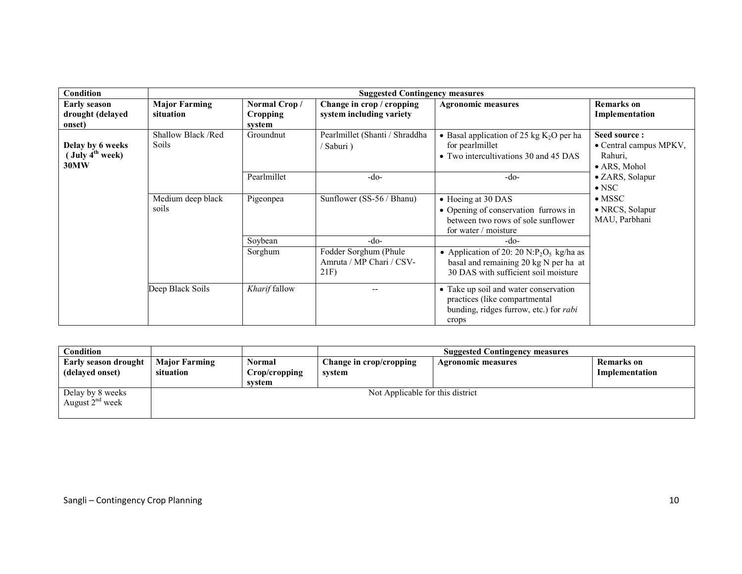| Condition                                         |                                    |                                           | <b>Suggested Contingency measures</b>                    |                                                                                                                                                   |                                                                   |
|---------------------------------------------------|------------------------------------|-------------------------------------------|----------------------------------------------------------|---------------------------------------------------------------------------------------------------------------------------------------------------|-------------------------------------------------------------------|
| <b>Early season</b><br>drought (delayed<br>onset) | <b>Major Farming</b><br>situation  | Normal Crop/<br><b>Cropping</b><br>system | Change in crop / cropping<br>system including variety    | <b>Agronomic measures</b>                                                                                                                         | <b>Remarks</b> on<br>Implementation                               |
| Delay by 6 weeks<br>$($ July $4th$ week)<br>30MW  | Shallow Black /Red<br><b>Soils</b> | Groundnut                                 | Pearlmillet (Shanti / Shraddha<br>'Saburi)               | • Basal application of 25 kg $K_2O$ per ha<br>for pearlmillet<br>• Two intercultivations 30 and 45 DAS                                            | Seed source:<br>• Central campus MPKV,<br>Rahuri.<br>• ARS, Mohol |
|                                                   |                                    | Pearlmillet                               | -do-                                                     | $-do-$                                                                                                                                            | • ZARS, Solapur<br>$\bullet$ NSC                                  |
|                                                   | Medium deep black<br>soils         | Pigeonpea                                 | Sunflower (SS-56 / Bhanu)                                | • Hoeing at 30 DAS<br>• Opening of conservation furrows in<br>between two rows of sole sunflower<br>for water / moisture                          | $\bullet$ MSSC<br>• NRCS, Solapur<br>MAU, Parbhani                |
|                                                   |                                    | Soybean                                   | -do-                                                     | -do-                                                                                                                                              |                                                                   |
|                                                   |                                    | Sorghum                                   | Fodder Sorghum (Phule<br>Amruta / MP Chari / CSV-<br>21F | • Application of 20: 20 N:P <sub>2</sub> O <sub>5</sub> kg/ha as<br>basal and remaining 20 kg N per ha at<br>30 DAS with sufficient soil moisture |                                                                   |
|                                                   | Deep Black Soils                   | Kharif fallow                             |                                                          | • Take up soil and water conservation<br>practices (like compartmental<br>bunding, ridges furrow, etc.) for <i>rabi</i><br>crops                  |                                                                   |

| Condition                                      |                                   |                                   | <b>Suggested Contingency measures</b> |                    |                              |
|------------------------------------------------|-----------------------------------|-----------------------------------|---------------------------------------|--------------------|------------------------------|
| <b>Early season drought</b><br>(delayed onset) | <b>Major Farming</b><br>situation | Normal<br>Crop/cropping<br>system | Change in crop/cropping<br>system     | Agronomic measures | Remarks on<br>Implementation |
| Delay by 8 weeks<br>August $2nd$ week          |                                   |                                   | Not Applicable for this district      |                    |                              |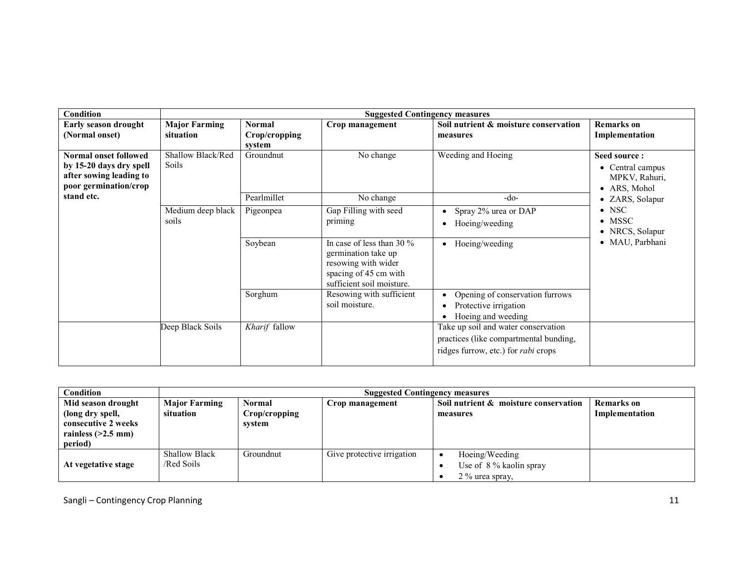| Condition                                                                                            |                                   |                                          | <b>Suggested Contingency measures</b>                                                                                            |                                                                                                                             |                                                                       |
|------------------------------------------------------------------------------------------------------|-----------------------------------|------------------------------------------|----------------------------------------------------------------------------------------------------------------------------------|-----------------------------------------------------------------------------------------------------------------------------|-----------------------------------------------------------------------|
| Early season drought<br>(Normal onset)                                                               | <b>Major Farming</b><br>situation | <b>Normal</b><br>Crop/cropping<br>system | Crop management                                                                                                                  | Soil nutrient & moisture conservation<br>measures                                                                           | <b>Remarks</b> on<br>Implementation                                   |
| Normal onset followed<br>by 15-20 days dry spell<br>after sowing leading to<br>poor germination/crop | Shallow Black/Red<br><b>Soils</b> | Groundnut                                | No change                                                                                                                        | Weeding and Hoeing                                                                                                          | Seed source:<br>• Central campus<br>MPKV, Rahuri,<br>• ARS, Mohol     |
| stand etc.                                                                                           | Medium deep black<br>soils        | Pearlmillet<br>Pigeonpea                 | No change<br>Gap Filling with seed<br>priming                                                                                    | $-do-$<br>Spray 2% urea or DAP<br>$\bullet$<br>Hoeing/weeding                                                               | • ZARS, Solapur<br>$\bullet$ NSC<br>$\bullet$ MSSC<br>• NRCS, Solapur |
|                                                                                                      |                                   | Soybean                                  | In case of less than 30 $\%$<br>germination take up<br>resowing with wider<br>spacing of 45 cm with<br>sufficient soil moisture. | Hoeing/weeding<br>$\bullet$                                                                                                 | · MAU, Parbhani                                                       |
|                                                                                                      |                                   | Sorghum                                  | Resowing with sufficient<br>soil moisture.                                                                                       | Opening of conservation furrows<br>Protective irrigation<br>Hoeing and weeding                                              |                                                                       |
|                                                                                                      | Deep Black Soils                  | Kharif fallow                            |                                                                                                                                  | Take up soil and water conservation<br>practices (like compartmental bunding,<br>ridges furrow, etc.) for <i>rabi</i> crops |                                                                       |

| Condition                                                                                        | <b>Suggested Contingency measures</b> |                                          |                            |                                                              |                                     |  |
|--------------------------------------------------------------------------------------------------|---------------------------------------|------------------------------------------|----------------------------|--------------------------------------------------------------|-------------------------------------|--|
| Mid season drought<br>(long dry spell,<br>consecutive 2 weeks<br>rainless $(>2.5$ mm)<br>period) | <b>Major Farming</b><br>situation     | <b>Normal</b><br>Crop/cropping<br>system | Crop management            | Soil nutrient & moisture conservation<br>measures            | <b>Remarks</b> on<br>Implementation |  |
| At vegetative stage                                                                              | <b>Shallow Black</b><br>/Red Soils    | Groundnut                                | Give protective irrigation | Hoeing/Weeding<br>Use of 8 % kaolin spray<br>2 % urea spray. |                                     |  |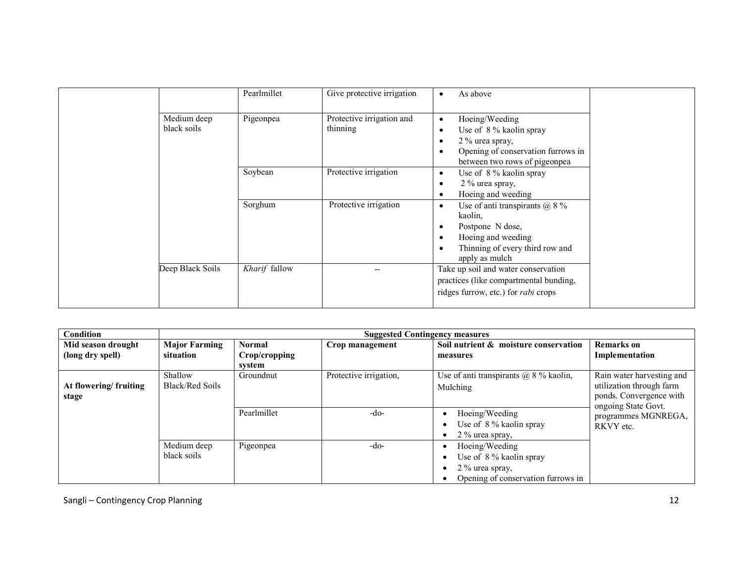|                            | Pearlmillet   | Give protective irrigation            | As above                                                                                                                                                     |
|----------------------------|---------------|---------------------------------------|--------------------------------------------------------------------------------------------------------------------------------------------------------------|
| Medium deep<br>black soils | Pigeonpea     | Protective irrigation and<br>thinning | Hoeing/Weeding<br>$\bullet$<br>Use of 8 % kaolin spray<br>٠<br>2 % urea spray,<br>Opening of conservation furrows in<br>between two rows of pigeonpea        |
|                            | Soybean       | Protective irrigation                 | Use of 8 % kaolin spray<br>$\bullet$<br>2 % urea spray,<br>Hoeing and weeding                                                                                |
|                            | Sorghum       | Protective irrigation                 | Use of anti transpirants $\omega$ 8 %<br>$\bullet$<br>kaolin,<br>Postpone N dose,<br>Hoeing and weeding<br>Thinning of every third row and<br>apply as mulch |
| Deep Black Soils           | Kharif fallow |                                       | Take up soil and water conservation<br>practices (like compartmental bunding,<br>ridges furrow, etc.) for <i>rabi</i> crops                                  |

| Condition                              |                                   | <b>Suggested Contingency measures</b> |                        |                                                                                                    |                                                                                                         |  |  |
|----------------------------------------|-----------------------------------|---------------------------------------|------------------------|----------------------------------------------------------------------------------------------------|---------------------------------------------------------------------------------------------------------|--|--|
| Mid season drought<br>(long dry spell) | <b>Major Farming</b><br>situation | Normal<br>Crop/cropping<br>svstem     | Crop management        | Soil nutrient & moisture conservation<br>measures                                                  | <b>Remarks</b> on<br>Implementation                                                                     |  |  |
| At flowering/fruiting<br>stage         | Shallow<br><b>Black/Red Soils</b> | Groundnut                             | Protective irrigation, | Use of anti transpirants $\omega$ 8 % kaolin,<br>Mulching                                          | Rain water harvesting and<br>utilization through farm<br>ponds. Convergence with<br>ongoing State Govt. |  |  |
|                                        |                                   | Pearlmillet                           | -do-                   | Hoeing/Weeding<br>Use of 8 % kaolin spray<br>$2\%$ urea spray,                                     | programmes MGNREGA,<br>RKVY etc.                                                                        |  |  |
|                                        | Medium deep<br>black soils        | Pigeonpea                             | $-do-$                 | Hoeing/Weeding<br>Use of 8 % kaolin spray<br>2 % urea spray,<br>Opening of conservation furrows in |                                                                                                         |  |  |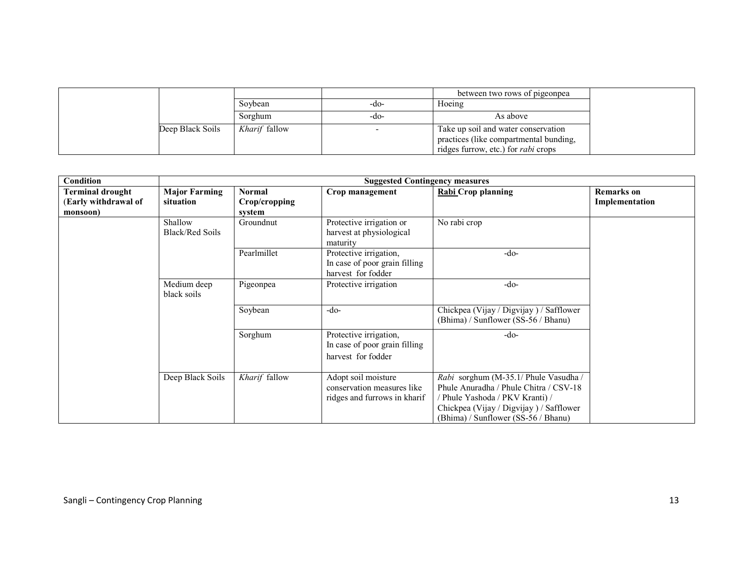|                  |                      |      | between two rows of pigeonpea              |
|------------------|----------------------|------|--------------------------------------------|
|                  | Soybean              | -do- | Hoeing                                     |
|                  | Sorghum              | -do- | As above                                   |
| Deep Black Soils | <i>Kharif</i> fallow |      | Take up soil and water conservation        |
|                  |                      |      | practices (like compartmental bunding,     |
|                  |                      |      | ridges furrow, etc.) for <i>rabi</i> crops |

| Condition                                                   |                                   |                                          | <b>Suggested Contingency measures</b>                                             |                                                                                                                                                                                                      |                                     |
|-------------------------------------------------------------|-----------------------------------|------------------------------------------|-----------------------------------------------------------------------------------|------------------------------------------------------------------------------------------------------------------------------------------------------------------------------------------------------|-------------------------------------|
| <b>Terminal drought</b><br>(Early withdrawal of<br>monsoon) | <b>Major Farming</b><br>situation | <b>Normal</b><br>Crop/cropping<br>system | Crop management                                                                   | Rabi Crop planning                                                                                                                                                                                   | <b>Remarks</b> on<br>Implementation |
|                                                             | Shallow<br><b>Black/Red Soils</b> | Groundnut                                | Protective irrigation or<br>harvest at physiological<br>maturity                  | No rabi crop                                                                                                                                                                                         |                                     |
|                                                             |                                   | Pearlmillet                              | Protective irrigation,<br>In case of poor grain filling<br>harvest for fodder     | $-do-$                                                                                                                                                                                               |                                     |
|                                                             | Medium deep<br>black soils        | Pigeonpea                                | Protective irrigation                                                             | $-do-$                                                                                                                                                                                               |                                     |
|                                                             |                                   | Soybean                                  | $-do-$                                                                            | Chickpea (Vijay / Digvijay) / Safflower<br>(Bhima) / Sunflower (SS-56 / Bhanu)                                                                                                                       |                                     |
|                                                             |                                   | Sorghum                                  | Protective irrigation,<br>In case of poor grain filling<br>harvest for fodder     | $-do-$                                                                                                                                                                                               |                                     |
|                                                             | Deep Black Soils                  | Kharif fallow                            | Adopt soil moisture<br>conservation measures like<br>ridges and furrows in kharif | Rabi sorghum (M-35.1/ Phule Vasudha /<br>Phule Anuradha / Phule Chitra / CSV-18<br>/ Phule Yashoda / PKV Kranti) /<br>Chickpea (Vijay / Digvijay) / Safflower<br>(Bhima) / Sunflower (SS-56 / Bhanu) |                                     |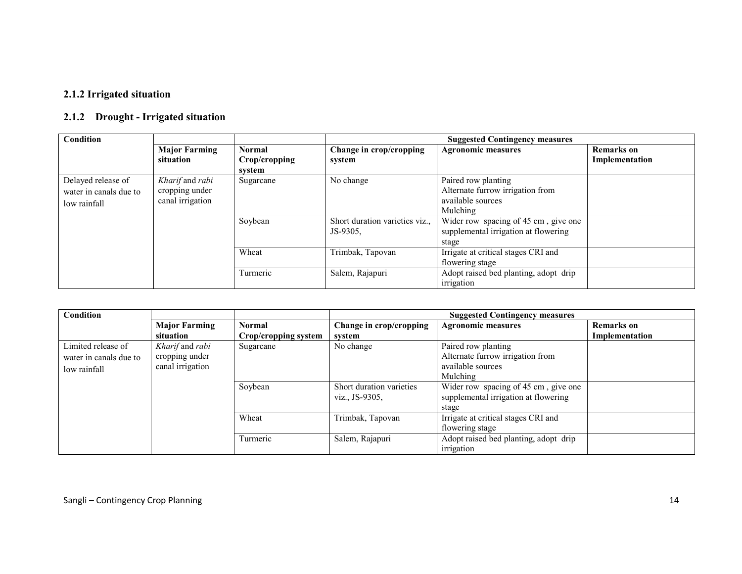### 2.1.2 Irrigated situation

## 2.1.2 Drought - Irrigated situation

| <b>Condition</b>       |                      |               |                                | <b>Suggested Contingency measures</b> |                   |
|------------------------|----------------------|---------------|--------------------------------|---------------------------------------|-------------------|
|                        | <b>Major Farming</b> | <b>Normal</b> | Change in crop/cropping        | <b>Agronomic measures</b>             | <b>Remarks</b> on |
|                        | situation            | Crop/cropping | system                         |                                       | Implementation    |
|                        |                      | system        |                                |                                       |                   |
| Delayed release of     | Kharif and rabi      | Sugarcane     | No change                      | Paired row planting                   |                   |
| water in canals due to | cropping under       |               |                                | Alternate furrow irrigation from      |                   |
| low rainfall           | canal irrigation     |               |                                | available sources                     |                   |
|                        |                      |               |                                | <b>Mulching</b>                       |                   |
|                        |                      | Soybean       | Short duration varieties viz., | Wider row spacing of 45 cm, give one  |                   |
|                        |                      |               | JS-9305.                       | supplemental irrigation at flowering  |                   |
|                        |                      |               |                                | stage                                 |                   |
|                        |                      | Wheat         | Trimbak, Tapovan               | Irrigate at critical stages CRI and   |                   |
|                        |                      |               |                                | flowering stage                       |                   |
|                        |                      | Turmeric      | Salem, Rajapuri                | Adopt raised bed planting, adopt drip |                   |
|                        |                      |               |                                | irrigation                            |                   |

| <b>Condition</b>       |                      |                      |                          | <b>Suggested Contingency measures</b> |                   |  |
|------------------------|----------------------|----------------------|--------------------------|---------------------------------------|-------------------|--|
|                        | <b>Major Farming</b> | <b>Normal</b>        | Change in crop/cropping  | <b>Agronomic measures</b>             | <b>Remarks</b> on |  |
|                        | situation            | Crop/cropping system | system                   |                                       | Implementation    |  |
| Limited release of     | Kharif and rabi      | Sugarcane            | No change                | Paired row planting                   |                   |  |
| water in canals due to | cropping under       |                      |                          | Alternate furrow irrigation from      |                   |  |
| low rainfall           | canal irrigation     |                      |                          | available sources                     |                   |  |
|                        |                      |                      |                          | Mulching                              |                   |  |
|                        |                      | Soybean              | Short duration varieties | Wider row spacing of 45 cm, give one  |                   |  |
|                        |                      |                      | viz., JS-9305.           | supplemental irrigation at flowering  |                   |  |
|                        |                      |                      |                          | stage                                 |                   |  |
|                        |                      | Wheat                | Trimbak, Tapovan         | Irrigate at critical stages CRI and   |                   |  |
|                        |                      |                      |                          | flowering stage                       |                   |  |
|                        |                      | Turmeric             | Salem, Rajapuri          | Adopt raised bed planting, adopt drip |                   |  |
|                        |                      |                      |                          | irrigation                            |                   |  |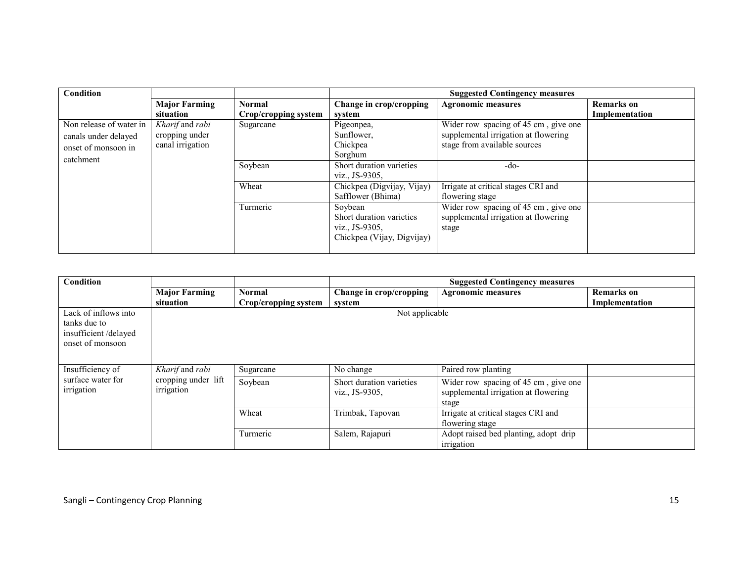| <b>Condition</b>        |                      |                      |                            | <b>Suggested Contingency measures</b> |                   |
|-------------------------|----------------------|----------------------|----------------------------|---------------------------------------|-------------------|
|                         | <b>Major Farming</b> | <b>Normal</b>        | Change in crop/cropping    | <b>Agronomic measures</b>             | <b>Remarks</b> on |
|                         | situation            | Crop/cropping system | system                     |                                       | Implementation    |
| Non release of water in | Kharif and rabi      | Sugarcane            | Pigeonpea,                 | Wider row spacing of 45 cm, give one  |                   |
| canals under delayed    | cropping under       |                      | Sunflower,                 | supplemental irrigation at flowering  |                   |
| onset of monsoon in     | canal irrigation     |                      | Chickpea                   | stage from available sources          |                   |
| catchment               |                      |                      | Sorghum                    |                                       |                   |
|                         |                      | Soybean              | Short duration varieties   | -do-                                  |                   |
|                         |                      |                      | viz., JS-9305,             |                                       |                   |
|                         |                      | Wheat                | Chickpea (Digvijay, Vijay) | Irrigate at critical stages CRI and   |                   |
|                         |                      |                      | Safflower (Bhima)          | flowering stage                       |                   |
|                         |                      | Turmeric             | Soybean                    | Wider row spacing of 45 cm, give one  |                   |
|                         |                      |                      | Short duration varieties   | supplemental irrigation at flowering  |                   |
|                         |                      |                      | viz., JS-9305,             | stage                                 |                   |
|                         |                      |                      | Chickpea (Vijay, Digvijay) |                                       |                   |
|                         |                      |                      |                            |                                       |                   |

| <b>Condition</b>                                                                 |                      |                                            | <b>Suggested Contingency measures</b>                                                 |                                                        |                   |
|----------------------------------------------------------------------------------|----------------------|--------------------------------------------|---------------------------------------------------------------------------------------|--------------------------------------------------------|-------------------|
|                                                                                  | <b>Major Farming</b> | <b>Normal</b>                              | Change in crop/cropping                                                               | <b>Agronomic measures</b>                              | <b>Remarks</b> on |
|                                                                                  | situation            | Crop/cropping system                       | system                                                                                |                                                        | Implementation    |
| Lack of inflows into<br>tanks due to<br>insufficient/delayed<br>onset of monsoon |                      |                                            | Not applicable                                                                        |                                                        |                   |
| Insufficiency of                                                                 | Kharif and rabi      | Sugarcane                                  | No change                                                                             | Paired row planting                                    |                   |
| surface water for<br>cropping under lift<br>irrigation<br>irrigation             | Soybean              | Short duration varieties<br>viz., JS-9305. | Wider row spacing of 45 cm, give one<br>supplemental irrigation at flowering<br>stage |                                                        |                   |
|                                                                                  |                      | Wheat                                      | Trimbak, Tapovan                                                                      | Irrigate at critical stages CRI and<br>flowering stage |                   |
|                                                                                  |                      | Turmeric                                   | Salem, Rajapuri                                                                       | Adopt raised bed planting, adopt drip<br>irrigation    |                   |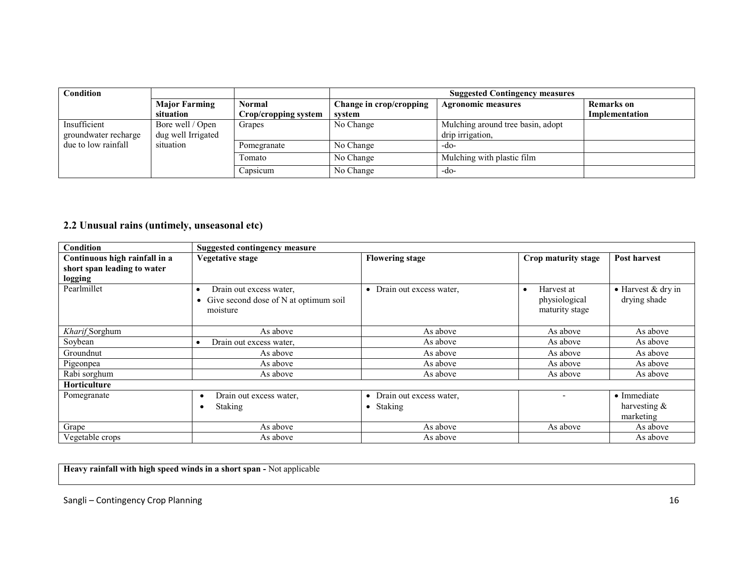| Condition            |                      |                      |                         | <b>Suggested Contingency measures</b> |                   |  |
|----------------------|----------------------|----------------------|-------------------------|---------------------------------------|-------------------|--|
|                      | <b>Major Farming</b> | <b>Normal</b>        | Change in crop/cropping | <b>Agronomic measures</b>             | <b>Remarks</b> on |  |
|                      | situation            | Crop/cropping system | svstem                  |                                       | Implementation    |  |
| Insufficient         | Bore well / Open     | Grapes               | No Change               | Mulching around tree basin, adopt     |                   |  |
| groundwater recharge | dug well Irrigated   |                      |                         | drip irrigation,                      |                   |  |
| due to low rainfall  | situation            | Pomegranate          | No Change               | -do-                                  |                   |  |
|                      |                      | Tomato               | No Change               | Mulching with plastic film            |                   |  |
|                      |                      | Capsicum             | No Change               | -do-                                  |                   |  |

#### 2.2 Unusual rains (untimely, unseasonal etc)

| <b>Condition</b>              | <b>Suggested contingency measure</b>      |                                      |                         |                            |
|-------------------------------|-------------------------------------------|--------------------------------------|-------------------------|----------------------------|
| Continuous high rainfall in a | <b>Vegetative stage</b>                   | <b>Flowering stage</b>               | Crop maturity stage     | <b>Post harvest</b>        |
| short span leading to water   |                                           |                                      |                         |                            |
| logging                       |                                           |                                      |                         |                            |
| Pearlmillet                   | Drain out excess water,<br>$\bullet$      | Drain out excess water,<br>$\bullet$ | Harvest at<br>$\bullet$ | $\bullet$ Harvest & dry in |
|                               | • Give second dose of $N$ at optimum soil |                                      | physiological           | drying shade               |
|                               | moisture                                  |                                      | maturity stage          |                            |
|                               |                                           |                                      |                         |                            |
| Kharif Sorghum                | As above                                  | As above                             | As above                | As above                   |
| Soybean                       | Drain out excess water.<br>$\bullet$      | As above                             | As above                | As above                   |
| Groundnut                     | As above                                  | As above                             | As above                | As above                   |
| Pigeonpea                     | As above                                  | As above                             | As above                | As above                   |
| Rabi sorghum                  | As above                                  | As above                             | As above                | As above                   |
| <b>Horticulture</b>           |                                           |                                      |                         |                            |
| Pomegranate                   | Drain out excess water,<br>$\bullet$      | Drain out excess water,<br>٠         |                         | • Immediate                |
|                               | Staking<br>$\bullet$                      | Staking<br>٠                         |                         | harvesting $\&$            |
|                               |                                           |                                      |                         | marketing                  |
| Grape                         | As above                                  | As above                             | As above                | As above                   |
| Vegetable crops               | As above                                  | As above                             |                         | As above                   |

Heavy rainfall with high speed winds in a short span - Not applicable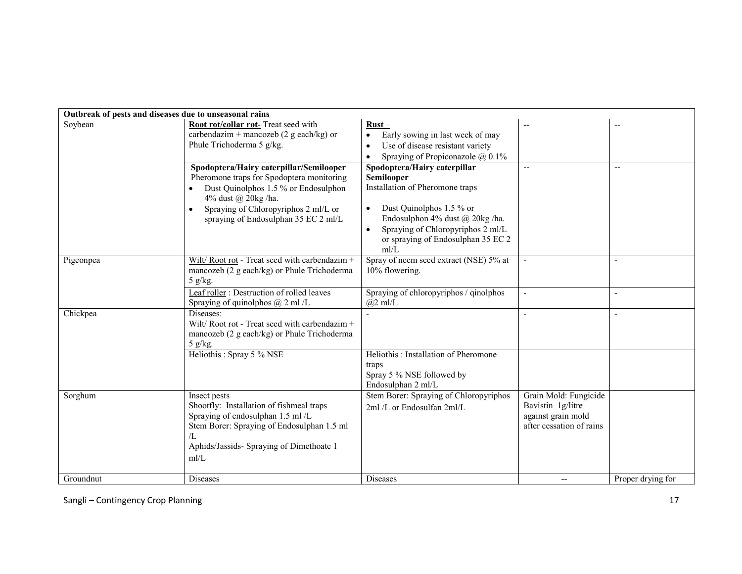| Outbreak of pests and diseases due to unseasonal rains |                                                                                                                                                                                                                                                  |                                                                                                                                                                                                                                                           |                                                                                              |                          |
|--------------------------------------------------------|--------------------------------------------------------------------------------------------------------------------------------------------------------------------------------------------------------------------------------------------------|-----------------------------------------------------------------------------------------------------------------------------------------------------------------------------------------------------------------------------------------------------------|----------------------------------------------------------------------------------------------|--------------------------|
| Soybean                                                | Root rot/collar rot- Treat seed with<br>carbendazim + mancozeb (2 g each/kg) or<br>Phule Trichoderma 5 g/kg.                                                                                                                                     | $Rust -$<br>Early sowing in last week of may<br>$\bullet$<br>Use of disease resistant variety<br>$\bullet$<br>Spraying of Propiconazole $@$ 0.1%<br>$\bullet$                                                                                             |                                                                                              | $\overline{\phantom{a}}$ |
|                                                        | Spodoptera/Hairy caterpillar/Semilooper<br>Pheromone traps for Spodoptera monitoring<br>Dust Quinolphos 1.5 % or Endosulphon<br>4% dust @ 20kg /ha.<br>Spraying of Chloropyriphos 2 ml/L or<br>$\bullet$<br>spraying of Endosulphan 35 EC 2 ml/L | Spodoptera/Hairy caterpillar<br>Semilooper<br>Installation of Pheromone traps<br>Dust Quinolphos 1.5 % or<br>$\bullet$<br>Endosulphon 4% dust @ 20kg /ha.<br>Spraying of Chloropyriphos 2 ml/L<br>$\bullet$<br>or spraying of Endosulphan 35 EC 2<br>mI/L | $\overline{a}$                                                                               | $\overline{\phantom{a}}$ |
| Pigeonpea                                              | Wilt/Root rot - Treat seed with carbendazim +<br>mancozeb (2 g each/kg) or Phule Trichoderma<br>5 $g/kg$ .                                                                                                                                       | Spray of neem seed extract (NSE) 5% at<br>10% flowering.                                                                                                                                                                                                  |                                                                                              | $\blacksquare$           |
|                                                        | Leaf roller: Destruction of rolled leaves<br>Spraying of quinolphos $@$ 2 ml /L                                                                                                                                                                  | Spraying of chloropyriphos / qinolphos<br>$(a)2$ ml/L                                                                                                                                                                                                     |                                                                                              | $\overline{\phantom{a}}$ |
| Chickpea                                               | Diseases:<br>Wilt/Root rot - Treat seed with carbendazim +<br>mancozeb (2 g each/kg) or Phule Trichoderma<br>5 g/kg.                                                                                                                             |                                                                                                                                                                                                                                                           |                                                                                              | $\blacksquare$           |
|                                                        | Heliothis: Spray 5 % NSE                                                                                                                                                                                                                         | Heliothis: Installation of Pheromone<br>traps<br>Spray 5 % NSE followed by<br>Endosulphan 2 ml/L                                                                                                                                                          |                                                                                              |                          |
| Sorghum                                                | Insect pests<br>Shootfly: Installation of fishmeal traps<br>Spraying of endosulphan 1.5 ml/L<br>Stem Borer: Spraying of Endosulphan 1.5 ml<br>$\pi$ .<br>Aphids/Jassids- Spraying of Dimethoate 1<br>m/L                                         | Stem Borer: Spraying of Chloropyriphos<br>2ml /L or Endosulfan 2ml/L                                                                                                                                                                                      | Grain Mold: Fungicide<br>Bavistin 1g/litre<br>against grain mold<br>after cessation of rains |                          |
| Groundnut                                              | Diseases                                                                                                                                                                                                                                         | Diseases                                                                                                                                                                                                                                                  | --                                                                                           | Proper drying for        |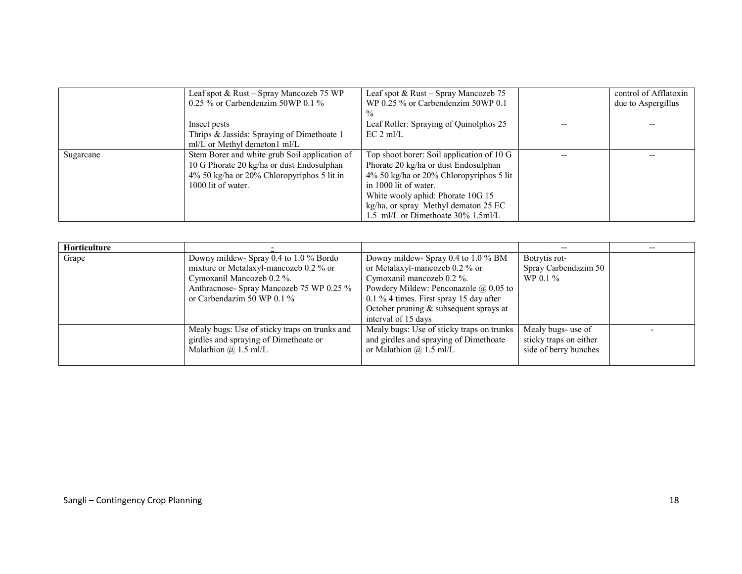|           | Leaf spot & Rust – Spray Mancozeb 75 WP       | Leaf spot & Rust – Spray Mancozeb 75      | control of Afflatoxin |
|-----------|-----------------------------------------------|-------------------------------------------|-----------------------|
|           | $0.25\%$ or Carbendenzim 50WP 0.1 %           | WP 0.25 $\%$ or Carbendenzim 50WP 0.1     | due to Aspergillus    |
|           |                                               |                                           |                       |
|           | Insect pests                                  | Leaf Roller: Spraying of Quinolphos 25    |                       |
|           | Thrips & Jassids: Spraying of Dimethoate 1    | $EC 2$ ml/L                               |                       |
|           | ml/L or Methyl demeton1 ml/L                  |                                           |                       |
| Sugarcane | Stem Borer and white grub Soil application of | Top shoot borer: Soil application of 10 G |                       |
|           | 10 G Phorate 20 kg/ha or dust Endosulphan     | Phorate 20 kg/ha or dust Endosulphan      |                       |
|           | $4\%$ 50 kg/ha or 20% Chloropyriphos 5 lit in | 4% 50 kg/ha or 20% Chloropyriphos 5 lit   |                       |
|           | 1000 lit of water.                            | in 1000 lit of water.                     |                       |
|           |                                               | White wooly aphid: Phorate 10G 15         |                       |
|           |                                               | kg/ha, or spray Methyl dematon 25 EC      |                       |
|           |                                               | 1.5 ml/L or Dimethoate 30% 1.5ml/L        |                       |

| <b>Horticulture</b> |                                               |                                              | --                     |  |
|---------------------|-----------------------------------------------|----------------------------------------------|------------------------|--|
| Grape               | Downy mildew- Spray 0.4 to 1.0 % Bordo        | Downy mildew- Spray 0.4 to 1.0 % BM          | Botrytis rot-          |  |
|                     | mixture or Metalaxyl-mancozeb 0.2 % or        | or Metalaxyl-mancozeb $0.2\%$ or             | Spray Carbendazim 50   |  |
|                     | Cymoxanil Mancozeb 0.2 %.                     | Cymoxanil mancozeb 0.2 %.                    | $WP 0.1 \%$            |  |
|                     | Anthracnose- Spray Mancozeb 75 WP 0.25 %      | Powdery Mildew: Penconazole $\omega$ 0.05 to |                        |  |
|                     | or Carbendazim 50 WP $0.1\%$                  | 0.1 % 4 times. First spray 15 day after      |                        |  |
|                     |                                               | October pruning $&$ subsequent sprays at     |                        |  |
|                     |                                               | interval of 15 days                          |                        |  |
|                     | Mealy bugs: Use of sticky traps on trunks and | Mealy bugs: Use of sticky traps on trunks    | Mealy bugs- use of     |  |
|                     | girdles and spraying of Dimethoate or         | and girdles and spraying of Dimethoate       | sticky traps on either |  |
|                     | Malathion $\omega$ 1.5 ml/L                   | or Malathion $\omega$ 1.5 ml/L               | side of berry bunches  |  |
|                     |                                               |                                              |                        |  |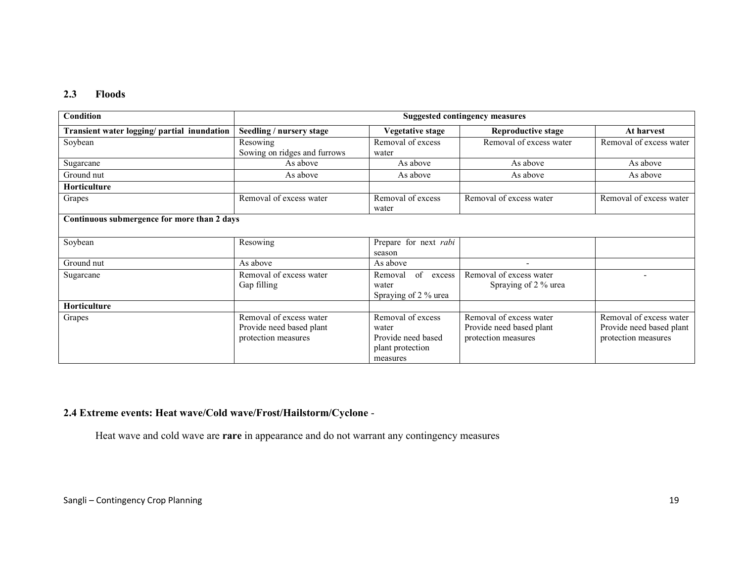#### 2.3 Floods

| <b>Condition</b>                            | <b>Suggested contingency measures</b>                                      |                                                                                  |                                                                            |                                                                            |  |
|---------------------------------------------|----------------------------------------------------------------------------|----------------------------------------------------------------------------------|----------------------------------------------------------------------------|----------------------------------------------------------------------------|--|
| Transient water logging/ partial inundation | Seedling / nursery stage                                                   | <b>Vegetative stage</b>                                                          | <b>Reproductive stage</b>                                                  | At harvest                                                                 |  |
| Soybean                                     | Resowing<br>Sowing on ridges and furrows                                   | Removal of excess<br>water                                                       | Removal of excess water                                                    | Removal of excess water                                                    |  |
| Sugarcane                                   | As above                                                                   | As above                                                                         | As above                                                                   | As above                                                                   |  |
| Ground nut                                  | As above                                                                   | As above                                                                         | As above                                                                   | As above                                                                   |  |
| Horticulture                                |                                                                            |                                                                                  |                                                                            |                                                                            |  |
| Grapes                                      | Removal of excess water                                                    | Removal of excess<br>water                                                       | Removal of excess water                                                    | Removal of excess water                                                    |  |
| Continuous submergence for more than 2 days |                                                                            |                                                                                  |                                                                            |                                                                            |  |
| Soybean                                     | Resowing                                                                   | Prepare for next rabi<br>season                                                  |                                                                            |                                                                            |  |
| Ground nut                                  | As above                                                                   | As above                                                                         |                                                                            |                                                                            |  |
| Sugarcane                                   | Removal of excess water<br>Gap filling                                     | of<br>Removal<br>excess<br>water<br>Spraying of 2 % urea                         | Removal of excess water<br>Spraying of 2 % urea                            | ۰                                                                          |  |
| Horticulture                                |                                                                            |                                                                                  |                                                                            |                                                                            |  |
| Grapes                                      | Removal of excess water<br>Provide need based plant<br>protection measures | Removal of excess<br>water<br>Provide need based<br>plant protection<br>measures | Removal of excess water<br>Provide need based plant<br>protection measures | Removal of excess water<br>Provide need based plant<br>protection measures |  |

## 2.4 Extreme events: Heat wave/Cold wave/Frost/Hailstorm/Cyclone -

Heat wave and cold wave are rare in appearance and do not warrant any contingency measures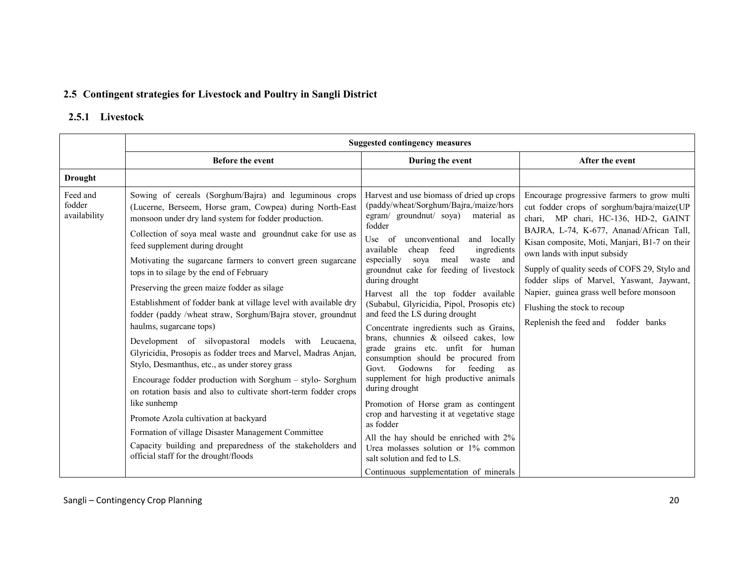## 2.5 Contingent strategies for Livestock and Poultry in Sangli District

## 2.5.1 Livestock

|                                    | <b>Suggested contingency measures</b>                                                                                                                                                                                                                                                                                                                                                                                                                                                                                                                                                                                                                                                                                                                                                                                                                                                                                                                                                                                                                                                                                               |                                                                                                                                                                                                                                                                                                                                                                                                                                                                                                                                                                                                                                                                                                                                                                                                                                                                                                                                                                                                     |                                                                                                                                                                                                                                                                                                                                                                                                                                                                                    |  |  |
|------------------------------------|-------------------------------------------------------------------------------------------------------------------------------------------------------------------------------------------------------------------------------------------------------------------------------------------------------------------------------------------------------------------------------------------------------------------------------------------------------------------------------------------------------------------------------------------------------------------------------------------------------------------------------------------------------------------------------------------------------------------------------------------------------------------------------------------------------------------------------------------------------------------------------------------------------------------------------------------------------------------------------------------------------------------------------------------------------------------------------------------------------------------------------------|-----------------------------------------------------------------------------------------------------------------------------------------------------------------------------------------------------------------------------------------------------------------------------------------------------------------------------------------------------------------------------------------------------------------------------------------------------------------------------------------------------------------------------------------------------------------------------------------------------------------------------------------------------------------------------------------------------------------------------------------------------------------------------------------------------------------------------------------------------------------------------------------------------------------------------------------------------------------------------------------------------|------------------------------------------------------------------------------------------------------------------------------------------------------------------------------------------------------------------------------------------------------------------------------------------------------------------------------------------------------------------------------------------------------------------------------------------------------------------------------------|--|--|
|                                    | Before the event                                                                                                                                                                                                                                                                                                                                                                                                                                                                                                                                                                                                                                                                                                                                                                                                                                                                                                                                                                                                                                                                                                                    | During the event                                                                                                                                                                                                                                                                                                                                                                                                                                                                                                                                                                                                                                                                                                                                                                                                                                                                                                                                                                                    | After the event                                                                                                                                                                                                                                                                                                                                                                                                                                                                    |  |  |
| <b>Drought</b>                     |                                                                                                                                                                                                                                                                                                                                                                                                                                                                                                                                                                                                                                                                                                                                                                                                                                                                                                                                                                                                                                                                                                                                     |                                                                                                                                                                                                                                                                                                                                                                                                                                                                                                                                                                                                                                                                                                                                                                                                                                                                                                                                                                                                     |                                                                                                                                                                                                                                                                                                                                                                                                                                                                                    |  |  |
| Feed and<br>fodder<br>availability | Sowing of cereals (Sorghum/Bajra) and leguminous crops<br>(Lucerne, Berseem, Horse gram, Cowpea) during North-East<br>monsoon under dry land system for fodder production.<br>Collection of soya meal waste and groundnut cake for use as<br>feed supplement during drought<br>Motivating the sugarcane farmers to convert green sugarcane<br>tops in to silage by the end of February<br>Preserving the green maize fodder as silage<br>Establishment of fodder bank at village level with available dry<br>fodder (paddy /wheat straw, Sorghum/Bajra stover, groundnut<br>haulms, sugarcane tops)<br>Development of silvopastoral models with Leucaena,<br>Glyricidia, Prosopis as fodder trees and Marvel, Madras Anjan,<br>Stylo, Desmanthus, etc., as under storey grass<br>Encourage fodder production with Sorghum - stylo- Sorghum<br>on rotation basis and also to cultivate short-term fodder crops<br>like sunhemp<br>Promote Azola cultivation at backyard<br>Formation of village Disaster Management Committee<br>Capacity building and preparedness of the stakeholders and<br>official staff for the drought/floods | Harvest and use biomass of dried up crops<br>(paddy/wheat/Sorghum/Bajra,/maize/hors<br>egram/ ground nut/ soya)<br>material as<br>fodder<br>Use of<br>unconventional<br>and locally<br>available<br>feed<br>cheap<br>ingredients<br>especially<br>meal<br>sova<br>waste and<br>groundnut cake for feeding of livestock<br>during drought<br>Harvest all the top fodder available<br>(Subabul, Glyricidia, Pipol, Prosopis etc)<br>and feed the LS during drought<br>Concentrate ingredients such as Grains,<br>brans, chunnies & oilseed cakes, low<br>grade grains etc. unfit for human<br>consumption should be procured from<br>Govt. Godowns<br>for<br>feeding<br>as<br>supplement for high productive animals<br>during drought<br>Promotion of Horse gram as contingent<br>crop and harvesting it at vegetative stage<br>as fodder<br>All the hay should be enriched with 2%<br>Urea molasses solution or 1% common<br>salt solution and fed to LS.<br>Continuous supplementation of minerals | Encourage progressive farmers to grow multi<br>cut fodder crops of sorghum/bajra/maize(UP<br>chari, MP chari, HC-136, HD-2, GAINT<br>BAJRA, L-74, K-677, Ananad/African Tall,<br>Kisan composite, Moti, Manjari, B1-7 on their<br>own lands with input subsidy<br>Supply of quality seeds of COFS 29, Stylo and<br>fodder slips of Marvel, Yaswant, Jaywant,<br>Napier, guinea grass well before monsoon<br>Flushing the stock to recoup<br>Replenish the feed and<br>fodder banks |  |  |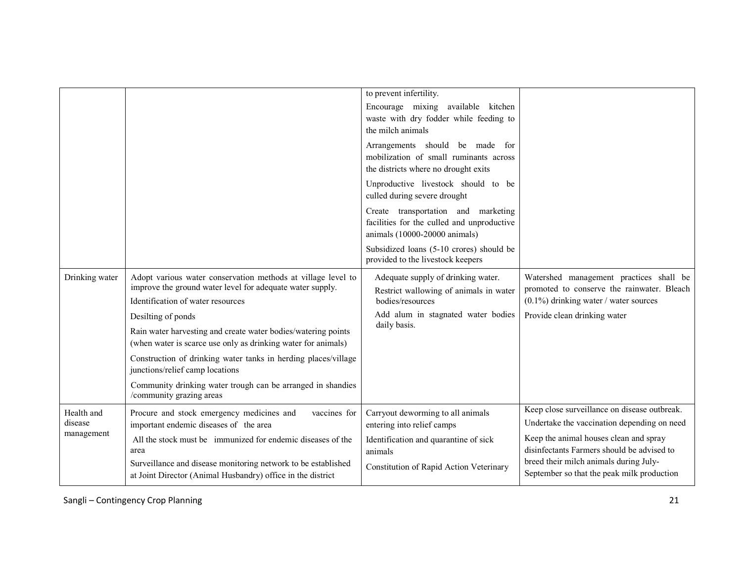|                       |                                                                                                                                                                | to prevent infertility.<br>Encourage mixing available kitchen<br>waste with dry fodder while feeding to<br>the milch animals |                                                                                                                                   |
|-----------------------|----------------------------------------------------------------------------------------------------------------------------------------------------------------|------------------------------------------------------------------------------------------------------------------------------|-----------------------------------------------------------------------------------------------------------------------------------|
|                       |                                                                                                                                                                | Arrangements should be made for<br>mobilization of small ruminants across<br>the districts where no drought exits            |                                                                                                                                   |
|                       |                                                                                                                                                                | Unproductive livestock should to be<br>culled during severe drought                                                          |                                                                                                                                   |
|                       |                                                                                                                                                                | Create transportation and marketing<br>facilities for the culled and unproductive<br>animals (10000-20000 animals)           |                                                                                                                                   |
|                       |                                                                                                                                                                | Subsidized loans (5-10 crores) should be<br>provided to the livestock keepers                                                |                                                                                                                                   |
| Drinking water        | Adopt various water conservation methods at village level to<br>improve the ground water level for adequate water supply.<br>Identification of water resources | Adequate supply of drinking water.<br>Restrict wallowing of animals in water<br>bodies/resources                             | Watershed management practices shall be<br>promoted to conserve the rainwater. Bleach<br>$(0.1\%)$ drinking water / water sources |
|                       | Desilting of ponds                                                                                                                                             | Add alum in stagnated water bodies                                                                                           | Provide clean drinking water                                                                                                      |
|                       | Rain water harvesting and create water bodies/watering points<br>(when water is scarce use only as drinking water for animals)                                 | daily basis.                                                                                                                 |                                                                                                                                   |
|                       | Construction of drinking water tanks in herding places/village<br>junctions/relief camp locations                                                              |                                                                                                                              |                                                                                                                                   |
|                       | Community drinking water trough can be arranged in shandies<br>/community grazing areas                                                                        |                                                                                                                              |                                                                                                                                   |
| Health and            | Procure and stock emergency medicines and<br>vaccines for                                                                                                      | Carryout deworming to all animals                                                                                            | Keep close surveillance on disease outbreak.                                                                                      |
| disease<br>management | important endemic diseases of the area                                                                                                                         | entering into relief camps                                                                                                   | Undertake the vaccination depending on need                                                                                       |
|                       | All the stock must be immunized for endemic diseases of the<br>area                                                                                            | Identification and quarantine of sick<br>animals                                                                             | Keep the animal houses clean and spray<br>disinfectants Farmers should be advised to                                              |
|                       | Surveillance and disease monitoring network to be established<br>at Joint Director (Animal Husbandry) office in the district                                   | Constitution of Rapid Action Veterinary                                                                                      | breed their milch animals during July-<br>September so that the peak milk production                                              |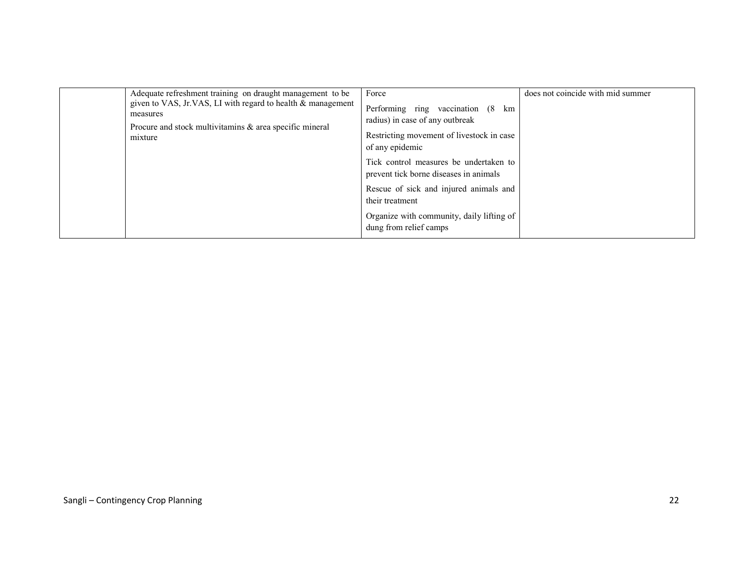| measures<br>mixture | Adequate refreshment training on draught management to be<br>given to VAS, Jr.VAS, LI with regard to health & management<br>Procure and stock multivitamins & area specific mineral | Force<br>Performing ring<br>vaccination (8 km<br>radius) in case of any outbreak<br>Restricting movement of livestock in case<br>of any epidemic | does not coincide with mid summer |
|---------------------|-------------------------------------------------------------------------------------------------------------------------------------------------------------------------------------|--------------------------------------------------------------------------------------------------------------------------------------------------|-----------------------------------|
|                     |                                                                                                                                                                                     | Tick control measures be undertaken to<br>prevent tick borne diseases in animals                                                                 |                                   |
|                     |                                                                                                                                                                                     | Rescue of sick and injured animals and<br>their treatment                                                                                        |                                   |
|                     |                                                                                                                                                                                     | Organize with community, daily lifting of<br>dung from relief camps                                                                              |                                   |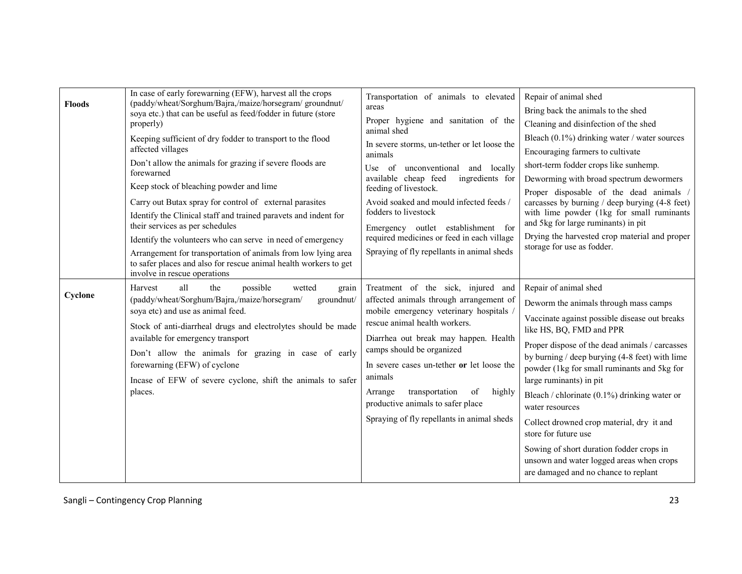| <b>Floods</b> | In case of early forewarning (EFW), harvest all the crops<br>(paddy/wheat/Sorghum/Bajra,/maize/horsegram/groundnut/<br>soya etc.) that can be useful as feed/fodder in future (store<br>properly)<br>Keeping sufficient of dry fodder to transport to the flood<br>affected villages<br>Don't allow the animals for grazing if severe floods are<br>forewarned<br>Keep stock of bleaching powder and lime<br>Carry out Butax spray for control of external parasites<br>Identify the Clinical staff and trained paravets and indent for<br>their services as per schedules<br>Identify the volunteers who can serve in need of emergency<br>Arrangement for transportation of animals from low lying area<br>to safer places and also for rescue animal health workers to get<br>involve in rescue operations | Transportation of animals to elevated<br>areas<br>Proper hygiene and sanitation of the<br>animal shed<br>In severe storms, un-tether or let loose the<br>animals<br>unconventional and locally<br>Use of<br>ingredients for<br>available cheap feed<br>feeding of livestock.<br>Avoid soaked and mould infected feeds /<br>fodders to livestock<br>Emergency outlet establishment for<br>required medicines or feed in each village<br>Spraying of fly repellants in animal sheds | Repair of animal shed<br>Bring back the animals to the shed<br>Cleaning and disinfection of the shed<br>Bleach $(0.1\%)$ drinking water / water sources<br>Encouraging farmers to cultivate<br>short-term fodder crops like sunhemp.<br>Deworming with broad spectrum dewormers<br>Proper disposable of the dead animals /<br>carcasses by burning / deep burying (4-8 feet)<br>with lime powder (1kg for small ruminants<br>and 5kg for large ruminants) in pit<br>Drying the harvested crop material and proper<br>storage for use as fodder.                                                   |
|---------------|---------------------------------------------------------------------------------------------------------------------------------------------------------------------------------------------------------------------------------------------------------------------------------------------------------------------------------------------------------------------------------------------------------------------------------------------------------------------------------------------------------------------------------------------------------------------------------------------------------------------------------------------------------------------------------------------------------------------------------------------------------------------------------------------------------------|-----------------------------------------------------------------------------------------------------------------------------------------------------------------------------------------------------------------------------------------------------------------------------------------------------------------------------------------------------------------------------------------------------------------------------------------------------------------------------------|---------------------------------------------------------------------------------------------------------------------------------------------------------------------------------------------------------------------------------------------------------------------------------------------------------------------------------------------------------------------------------------------------------------------------------------------------------------------------------------------------------------------------------------------------------------------------------------------------|
| Cyclone       | possible<br>all<br>the<br>Harvest<br>wetted<br>grain<br>(paddy/wheat/Sorghum/Bajra,/maize/horsegram/<br>groundnut/<br>soya etc) and use as animal feed.<br>Stock of anti-diarrheal drugs and electrolytes should be made<br>available for emergency transport<br>Don't allow the animals for grazing in case of early<br>forewarning (EFW) of cyclone<br>Incase of EFW of severe cyclone, shift the animals to safer<br>places.                                                                                                                                                                                                                                                                                                                                                                               | Treatment of the sick, injured and<br>affected animals through arrangement of<br>mobile emergency veterinary hospitals<br>rescue animal health workers.<br>Diarrhea out break may happen. Health<br>camps should be organized<br>In severe cases un-tether or let loose the<br>animals<br>transportation<br>of<br>highly<br>Arrange<br>productive animals to safer place<br>Spraying of fly repellants in animal sheds                                                            | Repair of animal shed<br>Deworm the animals through mass camps<br>Vaccinate against possible disease out breaks<br>like HS, BQ, FMD and PPR<br>Proper dispose of the dead animals / carcasses<br>by burning / deep burying (4-8 feet) with lime<br>powder (1kg for small ruminants and 5kg for<br>large ruminants) in pit<br>Bleach / chlorinate (0.1%) drinking water or<br>water resources<br>Collect drowned crop material, dry it and<br>store for future use<br>Sowing of short duration fodder crops in<br>unsown and water logged areas when crops<br>are damaged and no chance to replant |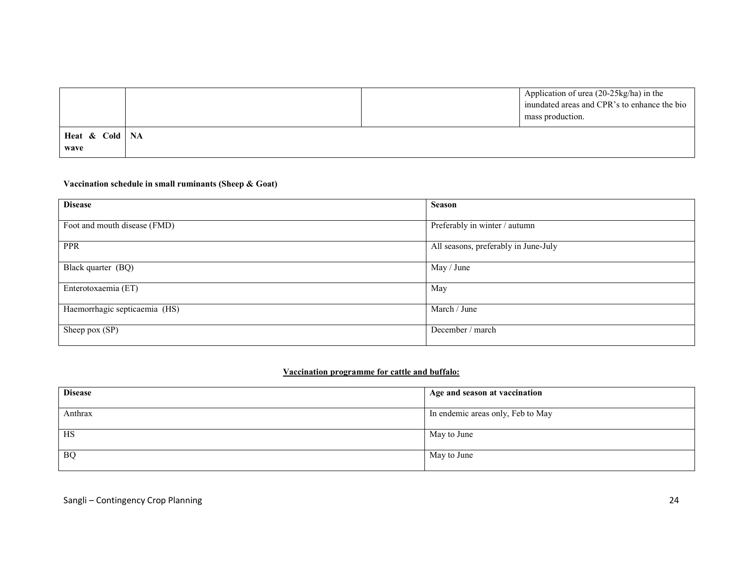|                  |  | Application of urea (20-25kg/ha) in the<br>inundated areas and CPR's to enhance the bio<br>mass production. |
|------------------|--|-------------------------------------------------------------------------------------------------------------|
| Heat & Cold   NA |  |                                                                                                             |
| wave             |  |                                                                                                             |

#### Vaccination schedule in small ruminants (Sheep & Goat)

| <b>Disease</b>                | <b>Season</b>                        |
|-------------------------------|--------------------------------------|
| Foot and mouth disease (FMD)  | Preferably in winter / autumn        |
| <b>PPR</b>                    | All seasons, preferably in June-July |
| Black quarter (BQ)            | May / June                           |
| Enterotoxaemia (ET)           | May                                  |
| Haemorrhagic septicaemia (HS) | March / June                         |
| Sheep pox (SP)                | December / march                     |

#### Vaccination programme for cattle and buffalo:

| <b>Disease</b> | Age and season at vaccination     |
|----------------|-----------------------------------|
| Anthrax        | In endemic areas only, Feb to May |
| HS             | May to June                       |
| <b>BQ</b>      | May to June                       |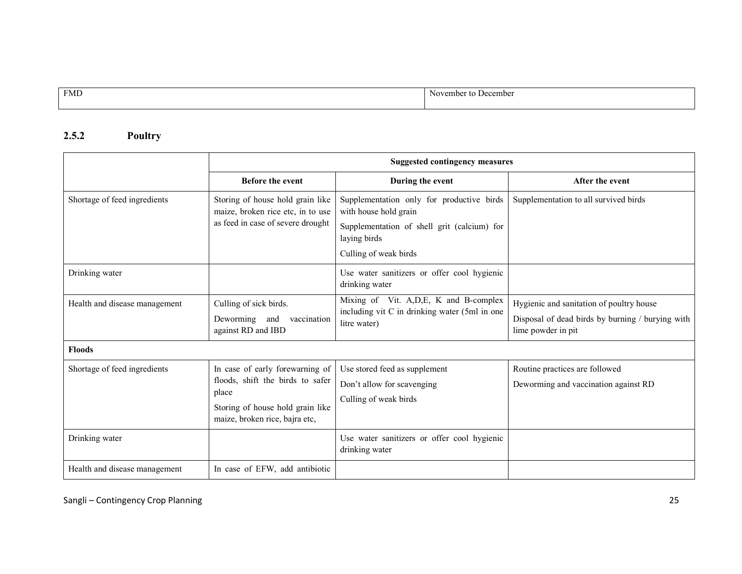FMD November to December

### 2.5.2 Poultry

|                               | <b>Suggested contingency measures</b>                                                                                                              |                                                                                                                                                            |                                                                                                                    |
|-------------------------------|----------------------------------------------------------------------------------------------------------------------------------------------------|------------------------------------------------------------------------------------------------------------------------------------------------------------|--------------------------------------------------------------------------------------------------------------------|
|                               | <b>Before the event</b>                                                                                                                            | During the event                                                                                                                                           | After the event                                                                                                    |
| Shortage of feed ingredients  | Storing of house hold grain like<br>maize, broken rice etc, in to use<br>as feed in case of severe drought                                         | Supplementation only for productive birds<br>with house hold grain<br>Supplementation of shell grit (calcium) for<br>laying birds<br>Culling of weak birds | Supplementation to all survived birds                                                                              |
| Drinking water                |                                                                                                                                                    | Use water sanitizers or offer cool hygienic<br>drinking water                                                                                              |                                                                                                                    |
| Health and disease management | Culling of sick birds.<br>Deworming<br>vaccination<br>and<br>against RD and IBD                                                                    | Mixing of Vit. A, D, E, K and B-complex<br>including vit C in drinking water (5ml in one<br>litre water)                                                   | Hygienic and sanitation of poultry house<br>Disposal of dead birds by burning / burying with<br>lime powder in pit |
| <b>Floods</b>                 |                                                                                                                                                    |                                                                                                                                                            |                                                                                                                    |
| Shortage of feed ingredients  | In case of early forewarning of<br>floods, shift the birds to safer<br>place<br>Storing of house hold grain like<br>maize, broken rice, bajra etc, | Use stored feed as supplement<br>Don't allow for scavenging<br>Culling of weak birds                                                                       | Routine practices are followed<br>Deworming and vaccination against RD                                             |
| Drinking water                |                                                                                                                                                    | Use water sanitizers or offer cool hygienic<br>drinking water                                                                                              |                                                                                                                    |
| Health and disease management | In case of EFW, add antibiotic                                                                                                                     |                                                                                                                                                            |                                                                                                                    |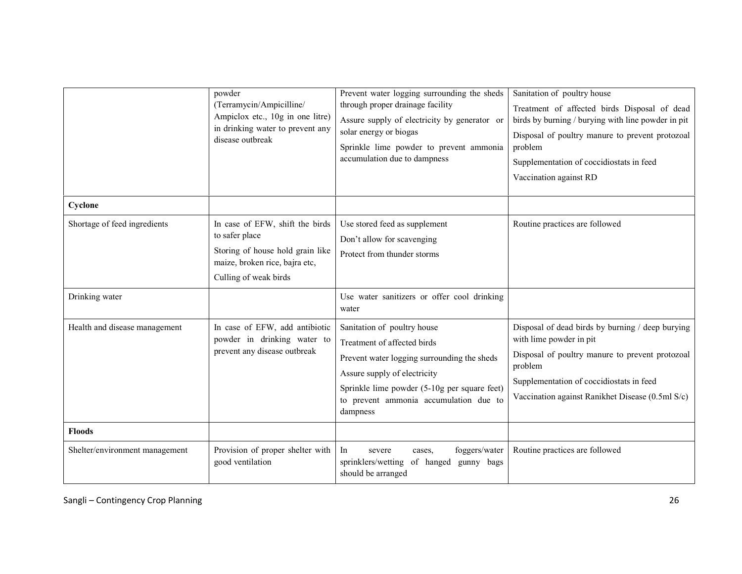|                                | powder<br>(Terramycin/Ampicilline/<br>Ampiclox etc., 10g in one litre)<br>in drinking water to prevent any<br>disease outbreak                   | Prevent water logging surrounding the sheds<br>through proper drainage facility<br>Assure supply of electricity by generator or<br>solar energy or biogas<br>Sprinkle lime powder to prevent ammonia<br>accumulation due to dampness            | Sanitation of poultry house<br>Treatment of affected birds Disposal of dead<br>birds by burning / burying with line powder in pit<br>Disposal of poultry manure to prevent protozoal<br>problem<br>Supplementation of coccidiostats in feed<br>Vaccination against RD |
|--------------------------------|--------------------------------------------------------------------------------------------------------------------------------------------------|-------------------------------------------------------------------------------------------------------------------------------------------------------------------------------------------------------------------------------------------------|-----------------------------------------------------------------------------------------------------------------------------------------------------------------------------------------------------------------------------------------------------------------------|
| Cyclone                        |                                                                                                                                                  |                                                                                                                                                                                                                                                 |                                                                                                                                                                                                                                                                       |
| Shortage of feed ingredients   | In case of EFW, shift the birds<br>to safer place<br>Storing of house hold grain like<br>maize, broken rice, bajra etc,<br>Culling of weak birds | Use stored feed as supplement<br>Don't allow for scavenging<br>Protect from thunder storms                                                                                                                                                      | Routine practices are followed                                                                                                                                                                                                                                        |
| Drinking water                 |                                                                                                                                                  | Use water sanitizers or offer cool drinking<br>water                                                                                                                                                                                            |                                                                                                                                                                                                                                                                       |
| Health and disease management  | In case of EFW, add antibiotic<br>powder in drinking water to<br>prevent any disease outbreak                                                    | Sanitation of poultry house<br>Treatment of affected birds<br>Prevent water logging surrounding the sheds<br>Assure supply of electricity<br>Sprinkle lime powder (5-10g per square feet)<br>to prevent ammonia accumulation due to<br>dampness | Disposal of dead birds by burning / deep burying<br>with lime powder in pit<br>Disposal of poultry manure to prevent protozoal<br>problem<br>Supplementation of coccidiostats in feed<br>Vaccination against Ranikhet Disease (0.5ml S/c)                             |
| <b>Floods</b>                  |                                                                                                                                                  |                                                                                                                                                                                                                                                 |                                                                                                                                                                                                                                                                       |
| Shelter/environment management | Provision of proper shelter with<br>good ventilation                                                                                             | foggers/water<br>In<br>severe<br>cases,<br>sprinklers/wetting of hanged<br>gunny bags<br>should be arranged                                                                                                                                     | Routine practices are followed                                                                                                                                                                                                                                        |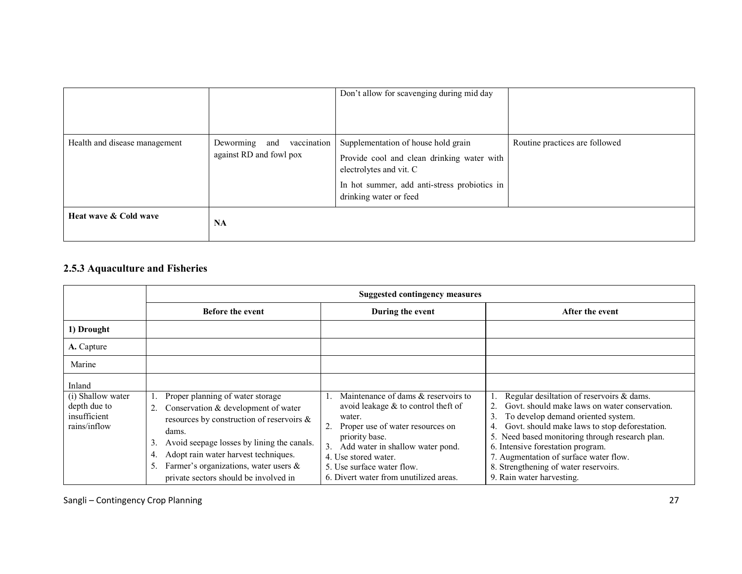|                               |                                                         | Don't allow for scavenging during mid day                                                                                                                                              |                                |
|-------------------------------|---------------------------------------------------------|----------------------------------------------------------------------------------------------------------------------------------------------------------------------------------------|--------------------------------|
| Health and disease management | Deworming and<br>vaccination<br>against RD and fowl pox | Supplementation of house hold grain<br>Provide cool and clean drinking water with<br>electrolytes and vit. C<br>In hot summer, add anti-stress probiotics in<br>drinking water or feed | Routine practices are followed |
| Heat wave & Cold wave         | <b>NA</b>                                               |                                                                                                                                                                                        |                                |

## 2.5.3 Aquaculture and Fisheries

|                                                                             | <b>Suggested contingency measures</b>                                                                                                                                                                                                                                                                                               |                                                                                                                                                                                                                                                                                  |                                                                                                                                                                                                                                                                                                                                                                                              |
|-----------------------------------------------------------------------------|-------------------------------------------------------------------------------------------------------------------------------------------------------------------------------------------------------------------------------------------------------------------------------------------------------------------------------------|----------------------------------------------------------------------------------------------------------------------------------------------------------------------------------------------------------------------------------------------------------------------------------|----------------------------------------------------------------------------------------------------------------------------------------------------------------------------------------------------------------------------------------------------------------------------------------------------------------------------------------------------------------------------------------------|
|                                                                             | <b>Before the event</b>                                                                                                                                                                                                                                                                                                             | During the event                                                                                                                                                                                                                                                                 | After the event                                                                                                                                                                                                                                                                                                                                                                              |
| 1) Drought                                                                  |                                                                                                                                                                                                                                                                                                                                     |                                                                                                                                                                                                                                                                                  |                                                                                                                                                                                                                                                                                                                                                                                              |
| A. Capture                                                                  |                                                                                                                                                                                                                                                                                                                                     |                                                                                                                                                                                                                                                                                  |                                                                                                                                                                                                                                                                                                                                                                                              |
| Marine                                                                      |                                                                                                                                                                                                                                                                                                                                     |                                                                                                                                                                                                                                                                                  |                                                                                                                                                                                                                                                                                                                                                                                              |
| Inland<br>(i) Shallow water<br>depth due to<br>insufficient<br>rains/inflow | Proper planning of water storage<br>Conservation & development of water<br>2.<br>resources by construction of reservoirs $\&$<br>dams.<br>Avoid seepage losses by lining the canals.<br>3.<br>Adopt rain water harvest techniques.<br>4.<br>Farmer's organizations, water users $\&$<br>5.<br>private sectors should be involved in | Maintenance of dams & reservoirs to<br>avoid leakage $&$ to control theft of<br>water.<br>Proper use of water resources on<br>priority base.<br>Add water in shallow water pond.<br>4. Use stored water.<br>5. Use surface water flow.<br>6. Divert water from unutilized areas. | Regular desiltation of reservoirs & dams.<br>Govt. should make laws on water conservation.<br>To develop demand oriented system.<br>Govt. should make laws to stop deforestation.<br>4.<br>Need based monitoring through research plan.<br>6. Intensive forestation program.<br>7. Augmentation of surface water flow.<br>8. Strengthening of water reservoirs.<br>9. Rain water harvesting. |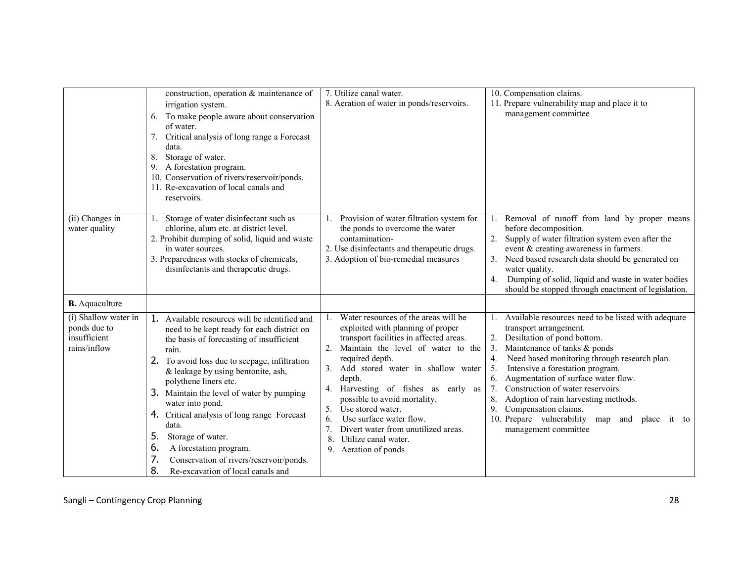|                                                                      | construction, operation & maintenance of<br>irrigation system.<br>To make people aware about conservation<br>6.<br>of water.<br>Critical analysis of long range a Forecast<br>7.<br>data.<br>8.<br>Storage of water.<br>A forestation program.<br>9.<br>10. Conservation of rivers/reservoir/ponds.<br>11. Re-excavation of local canals and<br>reservoirs.                                                                                                                                                                                      | 7. Utilize canal water.<br>8. Aeration of water in ponds/reservoirs.                                                                                                                                                                                                                                                                                                                                                                                                                          | 10. Compensation claims.<br>11. Prepare vulnerability map and place it to<br>management committee                                                                                                                                                                                                                                                                                                                                                                                                           |
|----------------------------------------------------------------------|--------------------------------------------------------------------------------------------------------------------------------------------------------------------------------------------------------------------------------------------------------------------------------------------------------------------------------------------------------------------------------------------------------------------------------------------------------------------------------------------------------------------------------------------------|-----------------------------------------------------------------------------------------------------------------------------------------------------------------------------------------------------------------------------------------------------------------------------------------------------------------------------------------------------------------------------------------------------------------------------------------------------------------------------------------------|-------------------------------------------------------------------------------------------------------------------------------------------------------------------------------------------------------------------------------------------------------------------------------------------------------------------------------------------------------------------------------------------------------------------------------------------------------------------------------------------------------------|
| (ii) Changes in<br>water quality<br><b>B.</b> Aquaculture            | Storage of water disinfectant such as<br>1.<br>chlorine, alum etc. at district level.<br>2. Prohibit dumping of solid, liquid and waste<br>in water sources.<br>3. Preparedness with stocks of chemicals,<br>disinfectants and therapeutic drugs.                                                                                                                                                                                                                                                                                                | Provision of water filtration system for<br>the ponds to overcome the water<br>contamination-<br>2. Use disinfectants and therapeutic drugs.<br>3. Adoption of bio-remedial measures                                                                                                                                                                                                                                                                                                          | Removal of runoff from land by proper means<br>before decomposition.<br>Supply of water filtration system even after the<br>2.<br>event & creating awareness in farmers.<br>Need based research data should be generated on<br>3.<br>water quality.<br>Dumping of solid, liquid and waste in water bodies<br>4.<br>should be stopped through enactment of legislation.                                                                                                                                      |
| (i) Shallow water in<br>ponds due to<br>insufficient<br>rains/inflow | 1. Available resources will be identified and<br>need to be kept ready for each district on<br>the basis of forecasting of insufficient<br>rain.<br>2. To avoid loss due to seepage, infiltration<br>& leakage by using bentonite, ash,<br>polythene liners etc.<br>3. Maintain the level of water by pumping<br>water into pond.<br>4. Critical analysis of long range Forecast<br>data.<br>5.<br>Storage of water.<br>A forestation program.<br>6.<br>7.<br>Conservation of rivers/reservoir/ponds.<br>8.<br>Re-excavation of local canals and | Water resources of the areas will be<br>$\mathbf{1}_{\cdot}$<br>exploited with planning of proper<br>transport facilities in affected areas.<br>Maintain the level of water to the<br>required depth.<br>Add stored water in shallow water<br>depth.<br>Harvesting of fishes as early as<br>4.<br>possible to avoid mortality.<br>Use stored water.<br>5.<br>Use surface water flow.<br>6.<br>7.<br>Divert water from unutilized areas.<br>Utilize canal water.<br>8.<br>9. Aeration of ponds | Available resources need to be listed with adequate<br>1.<br>transport arrangement.<br>2. Desiltation of pond bottom.<br>Maintenance of tanks & ponds<br>3.<br>Need based monitoring through research plan.<br>4.<br>Intensive a forestation program.<br>5.<br>Augmentation of surface water flow.<br>6.<br>Construction of water reservoirs.<br>Adoption of rain harvesting methods.<br>8.<br>Compensation claims.<br>9.<br>10. Prepare vulnerability map<br>and<br>place<br>it to<br>management committee |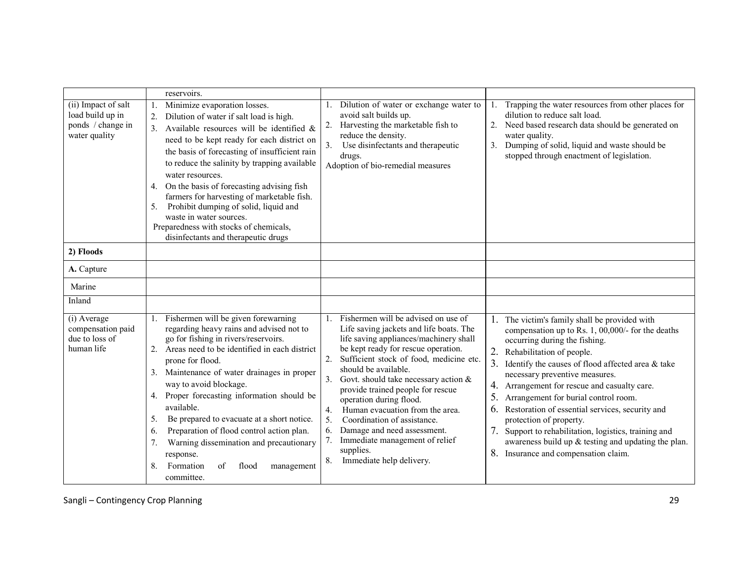|                                                                               | reservoirs.                                                                                                                                                                                                                                                                                                                                                                                                                                                                                                                                                                |                                                                                                                                                                                                                                                                                                                                                                                                                                                                                                                                                                                 |                                                                                                                                                                                                                                                                                                                                                                                                                                                                                                                                                                                                                  |
|-------------------------------------------------------------------------------|----------------------------------------------------------------------------------------------------------------------------------------------------------------------------------------------------------------------------------------------------------------------------------------------------------------------------------------------------------------------------------------------------------------------------------------------------------------------------------------------------------------------------------------------------------------------------|---------------------------------------------------------------------------------------------------------------------------------------------------------------------------------------------------------------------------------------------------------------------------------------------------------------------------------------------------------------------------------------------------------------------------------------------------------------------------------------------------------------------------------------------------------------------------------|------------------------------------------------------------------------------------------------------------------------------------------------------------------------------------------------------------------------------------------------------------------------------------------------------------------------------------------------------------------------------------------------------------------------------------------------------------------------------------------------------------------------------------------------------------------------------------------------------------------|
| (ii) Impact of salt<br>load build up in<br>ponds / change in<br>water quality | Minimize evaporation losses.<br>1.<br>Dilution of water if salt load is high.<br>2.<br>3. Available resources will be identified $\&$<br>need to be kept ready for each district on<br>the basis of forecasting of insufficient rain<br>to reduce the salinity by trapping available<br>water resources.<br>4. On the basis of forecasting advising fish<br>farmers for harvesting of marketable fish.<br>Prohibit dumping of solid, liquid and<br>5.<br>waste in water sources.<br>Preparedness with stocks of chemicals,<br>disinfectants and therapeutic drugs          | Dilution of water or exchange water to<br>avoid salt builds up.<br>Harvesting the marketable fish to<br>reduce the density.<br>Use disinfectants and therapeutic<br>drugs.<br>Adoption of bio-remedial measures                                                                                                                                                                                                                                                                                                                                                                 | Trapping the water resources from other places for<br>1.<br>dilution to reduce salt load.<br>Need based research data should be generated on<br>2.<br>water quality.<br>Dumping of solid, liquid and waste should be<br>3.<br>stopped through enactment of legislation.                                                                                                                                                                                                                                                                                                                                          |
| 2) Floods                                                                     |                                                                                                                                                                                                                                                                                                                                                                                                                                                                                                                                                                            |                                                                                                                                                                                                                                                                                                                                                                                                                                                                                                                                                                                 |                                                                                                                                                                                                                                                                                                                                                                                                                                                                                                                                                                                                                  |
| A. Capture                                                                    |                                                                                                                                                                                                                                                                                                                                                                                                                                                                                                                                                                            |                                                                                                                                                                                                                                                                                                                                                                                                                                                                                                                                                                                 |                                                                                                                                                                                                                                                                                                                                                                                                                                                                                                                                                                                                                  |
| Marine                                                                        |                                                                                                                                                                                                                                                                                                                                                                                                                                                                                                                                                                            |                                                                                                                                                                                                                                                                                                                                                                                                                                                                                                                                                                                 |                                                                                                                                                                                                                                                                                                                                                                                                                                                                                                                                                                                                                  |
| Inland                                                                        |                                                                                                                                                                                                                                                                                                                                                                                                                                                                                                                                                                            |                                                                                                                                                                                                                                                                                                                                                                                                                                                                                                                                                                                 |                                                                                                                                                                                                                                                                                                                                                                                                                                                                                                                                                                                                                  |
| (i) Average<br>compensation paid<br>due to loss of<br>human life              | Fishermen will be given forewarning<br>regarding heavy rains and advised not to<br>go for fishing in rivers/reservoirs.<br>2. Areas need to be identified in each district<br>prone for flood.<br>3. Maintenance of water drainages in proper<br>way to avoid blockage.<br>Proper forecasting information should be<br>4.<br>available.<br>Be prepared to evacuate at a short notice.<br>5.<br>Preparation of flood control action plan.<br>6.<br>Warning dissemination and precautionary<br>7.<br>response.<br>Formation<br>8.<br>flood<br>of<br>management<br>committee. | Fishermen will be advised on use of<br>$\mathbf{1}$<br>Life saving jackets and life boats. The<br>life saving appliances/machinery shall<br>be kept ready for rescue operation.<br>Sufficient stock of food, medicine etc.<br>should be available.<br>Govt. should take necessary action $\&$<br>provide trained people for rescue<br>operation during flood.<br>Human evacuation from the area.<br>$\overline{4}$ .<br>5.<br>Coordination of assistance.<br>Damage and need assessment.<br>6.<br>Immediate management of relief<br>supplies.<br>Immediate help delivery.<br>8. | 1. The victim's family shall be provided with<br>compensation up to Rs. 1, 00,000/- for the deaths<br>occurring during the fishing.<br>2. Rehabilitation of people.<br>3.<br>Identify the causes of flood affected area & take<br>necessary preventive measures.<br>Arrangement for rescue and casualty care.<br>4.<br>5.<br>Arrangement for burial control room.<br>Restoration of essential services, security and<br>6.<br>protection of property.<br>7.<br>Support to rehabilitation, logistics, training and<br>awareness build up & testing and updating the plan.<br>8. Insurance and compensation claim. |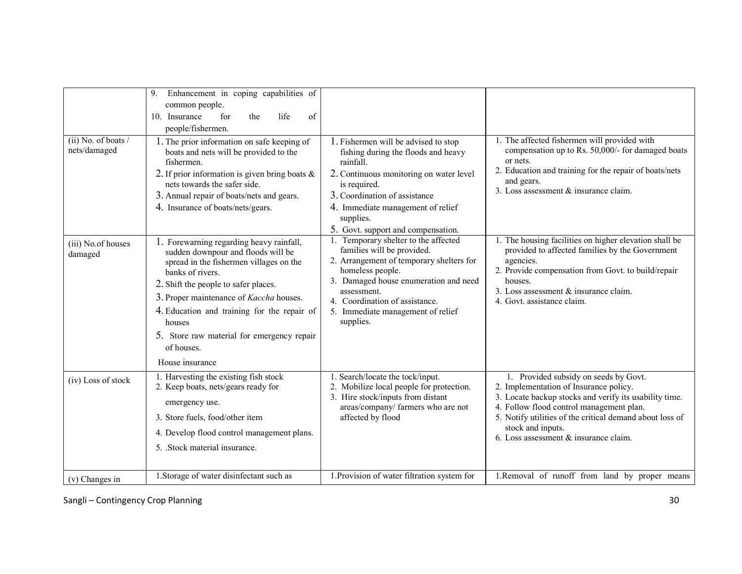| $(ii)$ No. of boats /<br>nets/damaged | Enhancement in coping capabilities of<br>9.<br>common people.<br>10. Insurance<br>for<br>life<br>of<br>the<br>people/fishermen.<br>1. The prior information on safe keeping of<br>boats and nets will be provided to the<br>fishermen.<br>2. If prior information is given bring boats $\&$<br>nets towards the safer side.<br>3. Annual repair of boats/nets and gears.<br>4. Insurance of boats/nets/gears. | 1. Fishermen will be advised to stop<br>fishing during the floods and heavy<br>rainfall.<br>2. Continuous monitoring on water level<br>is required.<br>3. Coordination of assistance<br>4. Immediate management of relief<br>supplies.<br>5. Govt. support and compensation.   | 1. The affected fishermen will provided with<br>compensation up to Rs. 50,000/- for damaged boats<br>or nets.<br>2. Education and training for the repair of boats/nets<br>and gears.<br>3. Loss assessment & insurance claim.                                                                                    |
|---------------------------------------|---------------------------------------------------------------------------------------------------------------------------------------------------------------------------------------------------------------------------------------------------------------------------------------------------------------------------------------------------------------------------------------------------------------|--------------------------------------------------------------------------------------------------------------------------------------------------------------------------------------------------------------------------------------------------------------------------------|-------------------------------------------------------------------------------------------------------------------------------------------------------------------------------------------------------------------------------------------------------------------------------------------------------------------|
| (iii) No.of houses<br>damaged         | 1. Forewarning regarding heavy rainfall,<br>sudden downpour and floods will be<br>spread in the fishermen villages on the<br>banks of rivers.<br>2. Shift the people to safer places.<br>3. Proper maintenance of Kaccha houses.<br>4. Education and training for the repair of<br>houses<br>5. Store raw material for emergency repair<br>of houses.<br>House insurance                                      | 1. Temporary shelter to the affected<br>families will be provided.<br>2. Arrangement of temporary shelters for<br>homeless people.<br>3. Damaged house enumeration and need<br>assessment.<br>4. Coordination of assistance.<br>5. Immediate management of relief<br>supplies. | 1. The housing facilities on higher elevation shall be<br>provided to affected families by the Government<br>agencies.<br>2. Provide compensation from Govt. to build/repair<br>houses.<br>3. Loss assessment & insurance claim.<br>4. Govt. assistance claim.                                                    |
| (iv) Loss of stock                    | 1. Harvesting the existing fish stock<br>2. Keep boats, nets/gears ready for<br>emergency use.<br>3. Store fuels, food/other item<br>4. Develop flood control management plans.<br>5. Stock material insurance.                                                                                                                                                                                               | 1. Search/locate the tock/input.<br>2. Mobilize local people for protection.<br>3. Hire stock/inputs from distant<br>areas/company/ farmers who are not<br>affected by flood                                                                                                   | 1. Provided subsidy on seeds by Govt.<br>2. Implementation of Insurance policy.<br>3. Locate backup stocks and verify its usability time.<br>4. Follow flood control management plan.<br>5. Notify utilities of the critical demand about loss of<br>stock and inputs.<br>6. Loss assessment $&$ insurance claim. |
| $(v)$ Changes in                      | 1. Storage of water disinfectant such as                                                                                                                                                                                                                                                                                                                                                                      | 1. Provision of water filtration system for                                                                                                                                                                                                                                    | 1.Removal of runoff from land by proper means                                                                                                                                                                                                                                                                     |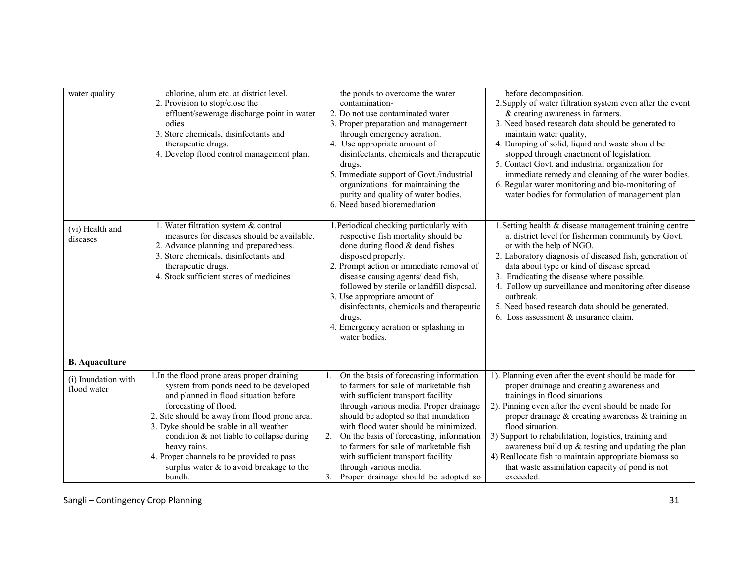| water quality         | chlorine, alum etc. at district level.        | the ponds to overcome the water                    | before decomposition.                                                                                |
|-----------------------|-----------------------------------------------|----------------------------------------------------|------------------------------------------------------------------------------------------------------|
|                       | 2. Provision to stop/close the                | contamination-                                     | 2. Supply of water filtration system even after the event                                            |
|                       | effluent/sewerage discharge point in water    | 2. Do not use contaminated water                   | & creating awareness in farmers.                                                                     |
|                       | odies                                         | 3. Proper preparation and management               | 3. Need based research data should be generated to                                                   |
|                       | 3. Store chemicals, disinfectants and         | through emergency aeration.                        | maintain water quality,                                                                              |
|                       | therapeutic drugs.                            | 4. Use appropriate amount of                       | 4. Dumping of solid, liquid and waste should be                                                      |
|                       | 4. Develop flood control management plan.     | disinfectants, chemicals and therapeutic           | stopped through enactment of legislation.                                                            |
|                       |                                               |                                                    | 5. Contact Govt. and industrial organization for                                                     |
|                       |                                               | drugs.<br>5. Immediate support of Govt./industrial | immediate remedy and cleaning of the water bodies.                                                   |
|                       |                                               | organizations for maintaining the                  |                                                                                                      |
|                       |                                               | purity and quality of water bodies.                | 6. Regular water monitoring and bio-monitoring of<br>water bodies for formulation of management plan |
|                       |                                               | 6. Need based bioremediation                       |                                                                                                      |
|                       |                                               |                                                    |                                                                                                      |
| (vi) Health and       | 1. Water filtration system & control          | 1. Periodical checking particularly with           | 1. Setting health & disease management training centre                                               |
| diseases              | measures for diseases should be available.    | respective fish mortality should be                | at district level for fisherman community by Govt.                                                   |
|                       | 2. Advance planning and preparedness.         | done during flood & dead fishes                    | or with the help of NGO.                                                                             |
|                       | 3. Store chemicals, disinfectants and         | disposed properly.                                 | 2. Laboratory diagnosis of diseased fish, generation of                                              |
|                       | therapeutic drugs.                            | 2. Prompt action or immediate removal of           | data about type or kind of disease spread.                                                           |
|                       | 4. Stock sufficient stores of medicines       | disease causing agents/ dead fish,                 | 3. Eradicating the disease where possible.                                                           |
|                       |                                               | followed by sterile or landfill disposal.          | 4. Follow up surveillance and monitoring after disease                                               |
|                       |                                               | 3. Use appropriate amount of                       | outbreak.                                                                                            |
|                       |                                               | disinfectants, chemicals and therapeutic           | 5. Need based research data should be generated.                                                     |
|                       |                                               | drugs.                                             | 6. Loss assessment $&$ insurance claim.                                                              |
|                       |                                               | 4. Emergency aeration or splashing in              |                                                                                                      |
|                       |                                               | water bodies.                                      |                                                                                                      |
| <b>B.</b> Aquaculture |                                               |                                                    |                                                                                                      |
|                       | 1. In the flood prone areas proper draining   | On the basis of forecasting information            | 1). Planning even after the event should be made for                                                 |
| (i) Inundation with   | system from ponds need to be developed        | to farmers for sale of marketable fish             | proper drainage and creating awareness and                                                           |
| flood water           | and planned in flood situation before         | with sufficient transport facility                 | trainings in flood situations.                                                                       |
|                       | forecasting of flood.                         | through various media. Proper drainage             | 2). Pinning even after the event should be made for                                                  |
|                       | 2. Site should be away from flood prone area. | should be adopted so that inundation               | proper drainage $\&$ creating awareness $\&$ training in                                             |
|                       | 3. Dyke should be stable in all weather       | with flood water should be minimized.              | flood situation.                                                                                     |
|                       | condition & not liable to collapse during     | On the basis of forecasting, information<br>2.     | 3) Support to rehabilitation, logistics, training and                                                |
|                       | heavy rains.                                  | to farmers for sale of marketable fish             | awareness build up & testing and updating the plan                                                   |
|                       | 4. Proper channels to be provided to pass     | with sufficient transport facility                 | 4) Reallocate fish to maintain appropriate biomass so                                                |
|                       | surplus water $&$ to avoid breakage to the    | through various media.                             | that waste assimilation capacity of pond is not                                                      |
|                       | bundh.                                        | 3.<br>Proper drainage should be adopted so         | exceeded.                                                                                            |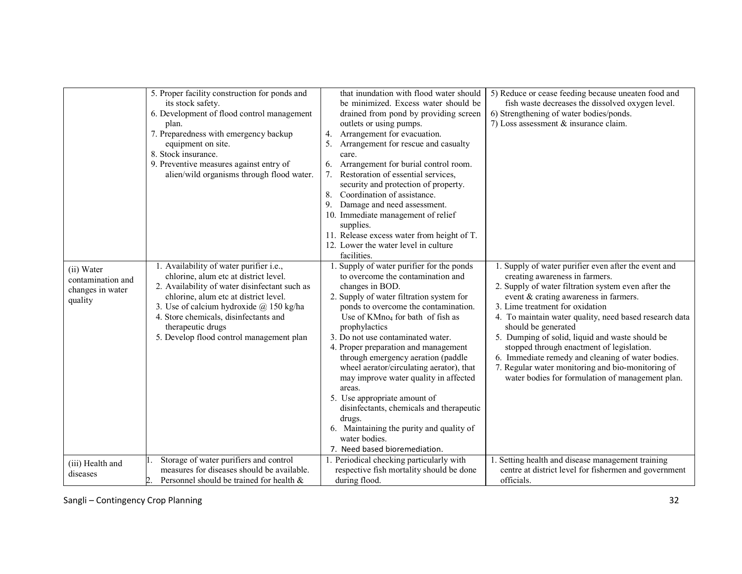|                                                                | 5. Proper facility construction for ponds and<br>its stock safety.<br>6. Development of flood control management<br>plan.<br>7. Preparedness with emergency backup<br>equipment on site.<br>8. Stock insurance.<br>9. Preventive measures against entry of<br>alien/wild organisms through flood water.                             | that inundation with flood water should<br>be minimized. Excess water should be<br>drained from pond by providing screen<br>outlets or using pumps.<br>Arrangement for evacuation.<br>4.<br>Arrangement for rescue and casualty<br>care.<br>Arrangement for burial control room.<br>6.<br>Restoration of essential services.<br>security and protection of property.<br>Coordination of assistance.<br>8.<br>Damage and need assessment.<br>9.<br>10. Immediate management of relief<br>supplies.<br>11. Release excess water from height of T.<br>12. Lower the water level in culture<br>facilities.                                             | 5) Reduce or cease feeding because uneaten food and<br>fish waste decreases the dissolved oxygen level.<br>6) Strengthening of water bodies/ponds.<br>7) Loss assessment $&$ insurance claim.                                                                                                                                                                                                                                                                                                                                                                            |
|----------------------------------------------------------------|-------------------------------------------------------------------------------------------------------------------------------------------------------------------------------------------------------------------------------------------------------------------------------------------------------------------------------------|----------------------------------------------------------------------------------------------------------------------------------------------------------------------------------------------------------------------------------------------------------------------------------------------------------------------------------------------------------------------------------------------------------------------------------------------------------------------------------------------------------------------------------------------------------------------------------------------------------------------------------------------------|--------------------------------------------------------------------------------------------------------------------------------------------------------------------------------------------------------------------------------------------------------------------------------------------------------------------------------------------------------------------------------------------------------------------------------------------------------------------------------------------------------------------------------------------------------------------------|
| (ii) Water<br>contamination and<br>changes in water<br>quality | 1. Availability of water purifier i.e.,<br>chlorine, alum etc at district level.<br>2. Availability of water disinfectant such as<br>chlorine, alum etc at district level.<br>3. Use of calcium hydroxide $(a)$ 150 kg/ha<br>4. Store chemicals, disinfectants and<br>therapeutic drugs<br>5. Develop flood control management plan | 1. Supply of water purifier for the ponds<br>to overcome the contamination and<br>changes in BOD.<br>2. Supply of water filtration system for<br>ponds to overcome the contamination.<br>Use of $KMno4$ for bath of fish as<br>prophylactics<br>3. Do not use contaminated water.<br>4. Proper preparation and management<br>through emergency aeration (paddle<br>wheel aerator/circulating aerator), that<br>may improve water quality in affected<br>areas.<br>5. Use appropriate amount of<br>disinfectants, chemicals and therapeutic<br>drugs.<br>6. Maintaining the purity and quality of<br>water bodies.<br>7. Need based bioremediation. | 1. Supply of water purifier even after the event and<br>creating awareness in farmers.<br>2. Supply of water filtration system even after the<br>event & crating awareness in farmers.<br>3. Lime treatment for oxidation<br>4. To maintain water quality, need based research data<br>should be generated<br>5. Dumping of solid, liquid and waste should be<br>stopped through enactment of legislation.<br>6. Immediate remedy and cleaning of water bodies.<br>7. Regular water monitoring and bio-monitoring of<br>water bodies for formulation of management plan. |
| (iii) Health and<br>diseases                                   | Storage of water purifiers and control<br>measures for diseases should be available.<br>Personnel should be trained for health &                                                                                                                                                                                                    | 1. Periodical checking particularly with<br>respective fish mortality should be done<br>during flood.                                                                                                                                                                                                                                                                                                                                                                                                                                                                                                                                              | 1. Setting health and disease management training<br>centre at district level for fishermen and government<br>officials.                                                                                                                                                                                                                                                                                                                                                                                                                                                 |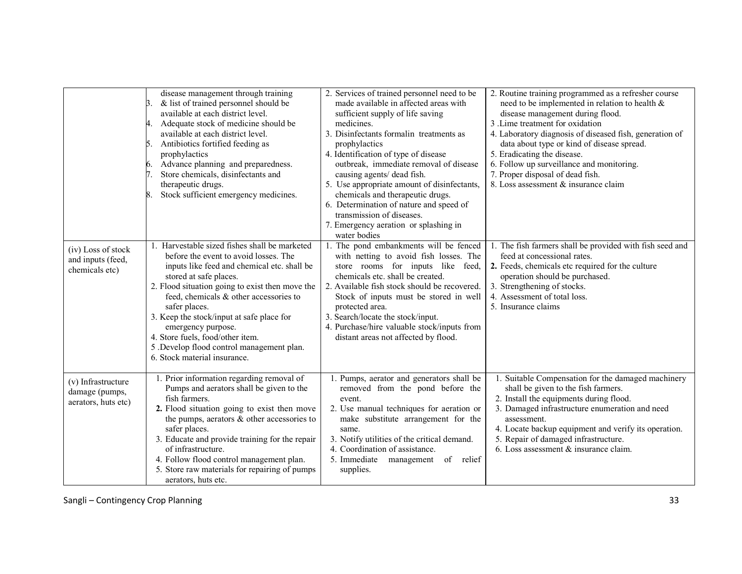|                                                             | disease management through training<br>& list of trained personnel should be<br>3.<br>available at each district level.<br>Adequate stock of medicine should be<br>4.<br>available at each district level.<br>Antibiotics fortified feeding as<br>5.<br>prophylactics<br>Advance planning and preparedness.<br>Store chemicals, disinfectants and<br>7.<br>therapeutic drugs.<br>Stock sufficient emergency medicines.<br>8.                                      | 2. Services of trained personnel need to be<br>made available in affected areas with<br>sufficient supply of life saving<br>medicines.<br>3. Disinfectants formalin treatments as<br>prophylactics<br>4. Identification of type of disease<br>outbreak, immediate removal of disease<br>causing agents/ dead fish.<br>5. Use appropriate amount of disinfectants,<br>chemicals and therapeutic drugs.<br>6. Determination of nature and speed of<br>transmission of diseases.<br>7. Emergency aeration or splashing in<br>water bodies | 2. Routine training programmed as a refresher course<br>need to be implemented in relation to health $\&$<br>disease management during flood.<br>3. Lime treatment for oxidation<br>4. Laboratory diagnosis of diseased fish, generation of<br>data about type or kind of disease spread.<br>5. Eradicating the disease.<br>6. Follow up surveillance and monitoring.<br>7. Proper disposal of dead fish.<br>8. Loss assessment & insurance claim |
|-------------------------------------------------------------|-------------------------------------------------------------------------------------------------------------------------------------------------------------------------------------------------------------------------------------------------------------------------------------------------------------------------------------------------------------------------------------------------------------------------------------------------------------------|----------------------------------------------------------------------------------------------------------------------------------------------------------------------------------------------------------------------------------------------------------------------------------------------------------------------------------------------------------------------------------------------------------------------------------------------------------------------------------------------------------------------------------------|---------------------------------------------------------------------------------------------------------------------------------------------------------------------------------------------------------------------------------------------------------------------------------------------------------------------------------------------------------------------------------------------------------------------------------------------------|
| (iv) Loss of stock<br>and inputs (feed,<br>chemicals etc)   | 1. Harvestable sized fishes shall be marketed<br>before the event to avoid losses. The<br>inputs like feed and chemical etc. shall be<br>stored at safe places.<br>2. Flood situation going to exist then move the<br>feed, chemicals & other accessories to<br>safer places.<br>3. Keep the stock/input at safe place for<br>emergency purpose.<br>4. Store fuels, food/other item.<br>5 .Develop flood control management plan.<br>6. Stock material insurance. | 1. The pond embankments will be fenced<br>with netting to avoid fish losses. The<br>store rooms for inputs like feed,<br>chemicals etc. shall be created.<br>2. Available fish stock should be recovered.<br>Stock of inputs must be stored in well<br>protected area.<br>3. Search/locate the stock/input.<br>4. Purchase/hire valuable stock/inputs from<br>distant areas not affected by flood.                                                                                                                                     | 1. The fish farmers shall be provided with fish seed and<br>feed at concessional rates.<br>2. Feeds, chemicals etc required for the culture<br>operation should be purchased.<br>3. Strengthening of stocks.<br>4. Assessment of total loss.<br>5. Insurance claims                                                                                                                                                                               |
| (v) Infrastructure<br>damage (pumps,<br>aerators, huts etc) | 1. Prior information regarding removal of<br>Pumps and aerators shall be given to the<br>fish farmers.<br>2. Flood situation going to exist then move<br>the pumps, aerators $\&$ other accessories to<br>safer places.<br>3. Educate and provide training for the repair<br>of infrastructure.<br>4. Follow flood control management plan.<br>5. Store raw materials for repairing of pumps<br>aerators, huts etc.                                               | Pumps, aerator and generators shall be<br>removed from the pond before the<br>event.<br>2. Use manual techniques for aeration or<br>make substitute arrangement for the<br>same.<br>3. Notify utilities of the critical demand.<br>4. Coordination of assistance.<br>5. Immediate<br>management<br>of<br>relief<br>supplies.                                                                                                                                                                                                           | 1. Suitable Compensation for the damaged machinery<br>shall be given to the fish farmers.<br>2. Install the equipments during flood.<br>3. Damaged infrastructure enumeration and need<br>assessment.<br>4. Locate backup equipment and verify its operation.<br>5. Repair of damaged infrastructure.<br>6. Loss assessment & insurance claim.                                                                                                    |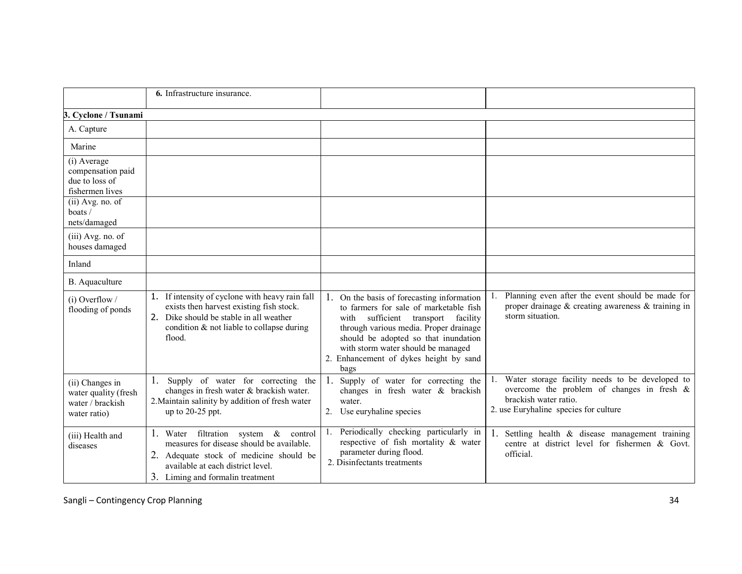|                                                                             | 6. Infrastructure insurance.                                                                                                                                                                                 |                                                                                                                                                                                                                                                                                                         |                                                                                                                                                                    |
|-----------------------------------------------------------------------------|--------------------------------------------------------------------------------------------------------------------------------------------------------------------------------------------------------------|---------------------------------------------------------------------------------------------------------------------------------------------------------------------------------------------------------------------------------------------------------------------------------------------------------|--------------------------------------------------------------------------------------------------------------------------------------------------------------------|
| 3. Cyclone / Tsunami                                                        |                                                                                                                                                                                                              |                                                                                                                                                                                                                                                                                                         |                                                                                                                                                                    |
| A. Capture                                                                  |                                                                                                                                                                                                              |                                                                                                                                                                                                                                                                                                         |                                                                                                                                                                    |
| Marine                                                                      |                                                                                                                                                                                                              |                                                                                                                                                                                                                                                                                                         |                                                                                                                                                                    |
| (i) Average<br>compensation paid<br>due to loss of<br>fishermen lives       |                                                                                                                                                                                                              |                                                                                                                                                                                                                                                                                                         |                                                                                                                                                                    |
| (ii) Avg. no. of<br>$\text{boats}$ /<br>nets/damaged                        |                                                                                                                                                                                                              |                                                                                                                                                                                                                                                                                                         |                                                                                                                                                                    |
| $(iii)$ Avg. no. of<br>houses damaged                                       |                                                                                                                                                                                                              |                                                                                                                                                                                                                                                                                                         |                                                                                                                                                                    |
| Inland                                                                      |                                                                                                                                                                                                              |                                                                                                                                                                                                                                                                                                         |                                                                                                                                                                    |
| B. Aquaculture                                                              |                                                                                                                                                                                                              |                                                                                                                                                                                                                                                                                                         |                                                                                                                                                                    |
| $(i)$ Overflow /<br>flooding of ponds                                       | 1. If intensity of cyclone with heavy rain fall<br>exists then harvest existing fish stock.<br>2. Dike should be stable in all weather<br>condition & not liable to collapse during<br>flood.                | 1.<br>On the basis of forecasting information<br>to farmers for sale of marketable fish<br>sufficient transport facility<br>with<br>through various media. Proper drainage<br>should be adopted so that inundation<br>with storm water should be managed<br>Enhancement of dykes height by sand<br>bags | Planning even after the event should be made for<br>proper drainage & creating awareness & training in<br>storm situation.                                         |
| (ii) Changes in<br>water quality (fresh<br>water / brackish<br>water ratio) | 1.<br>Supply of water for correcting the<br>changes in fresh water & brackish water.<br>2. Maintain salinity by addition of fresh water<br>up to 20-25 ppt.                                                  | Supply of water for correcting the<br>changes in fresh water & brackish<br>water.<br>Use euryhaline species                                                                                                                                                                                             | Water storage facility needs to be developed to<br>overcome the problem of changes in fresh $\&$<br>brackish water ratio.<br>2. use Euryhaline species for culture |
| (iii) Health and<br>diseases                                                | 1. Water filtration system $\&$<br>control<br>measures for disease should be available.<br>2. Adequate stock of medicine should be<br>available at each district level.<br>3. Liming and formal in treatment | Periodically checking particularly in<br>respective of fish mortality & water<br>parameter during flood.<br>2. Disinfectants treatments                                                                                                                                                                 | Settling health & disease management training<br>centre at district level for fishermen & Govt.<br>official.                                                       |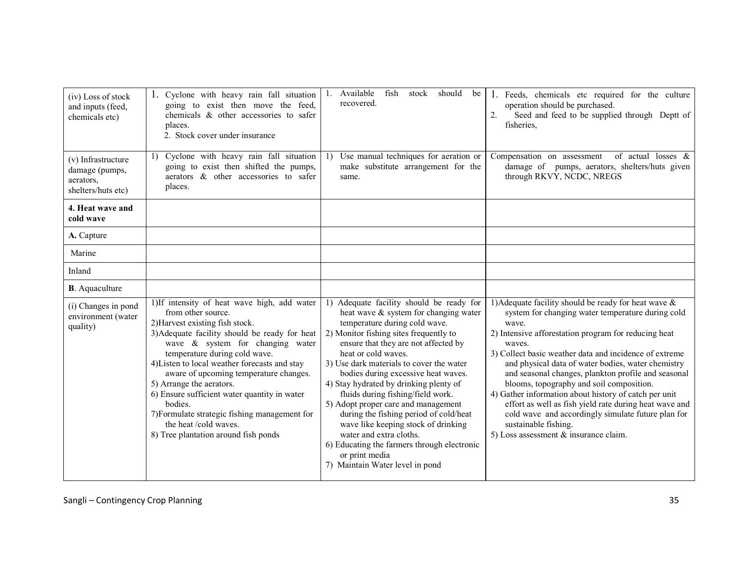| (iv) Loss of stock<br>and inputs (feed,<br>chemicals etc)               | 1. Cyclone with heavy rain fall situation<br>going to exist then move the feed,<br>chemicals & other accessories to safer<br>places.<br>2. Stock cover under insurance                                                                                                                                                                                                                                                                                                                                                            | Available<br>should<br>fish<br>stock<br>be<br>1.<br>recovered.                                                                                                                                                                                                                                                                                                                                                                                                                                                                                                                                                                                       | 1. Feeds, chemicals etc required for the culture<br>operation should be purchased.<br>2.<br>Seed and feed to be supplied through Deptt of<br>fisheries.                                                                                                                                                                                                                                                                                                                                                                                                                                                                                                 |
|-------------------------------------------------------------------------|-----------------------------------------------------------------------------------------------------------------------------------------------------------------------------------------------------------------------------------------------------------------------------------------------------------------------------------------------------------------------------------------------------------------------------------------------------------------------------------------------------------------------------------|------------------------------------------------------------------------------------------------------------------------------------------------------------------------------------------------------------------------------------------------------------------------------------------------------------------------------------------------------------------------------------------------------------------------------------------------------------------------------------------------------------------------------------------------------------------------------------------------------------------------------------------------------|---------------------------------------------------------------------------------------------------------------------------------------------------------------------------------------------------------------------------------------------------------------------------------------------------------------------------------------------------------------------------------------------------------------------------------------------------------------------------------------------------------------------------------------------------------------------------------------------------------------------------------------------------------|
| (v) Infrastructure<br>damage (pumps,<br>aerators,<br>shelters/huts etc) | 1) Cyclone with heavy rain fall situation<br>going to exist then shifted the pumps,<br>aerators & other accessories to safer<br>places.                                                                                                                                                                                                                                                                                                                                                                                           | Use manual techniques for aeration or<br><sup>1</sup><br>make substitute arrangement for the<br>same.                                                                                                                                                                                                                                                                                                                                                                                                                                                                                                                                                | Compensation on assessment<br>of actual losses &<br>damage of pumps, aerators, shelters/huts given<br>through RKVY, NCDC, NREGS                                                                                                                                                                                                                                                                                                                                                                                                                                                                                                                         |
| 4. Heat wave and<br>cold wave                                           |                                                                                                                                                                                                                                                                                                                                                                                                                                                                                                                                   |                                                                                                                                                                                                                                                                                                                                                                                                                                                                                                                                                                                                                                                      |                                                                                                                                                                                                                                                                                                                                                                                                                                                                                                                                                                                                                                                         |
| A. Capture                                                              |                                                                                                                                                                                                                                                                                                                                                                                                                                                                                                                                   |                                                                                                                                                                                                                                                                                                                                                                                                                                                                                                                                                                                                                                                      |                                                                                                                                                                                                                                                                                                                                                                                                                                                                                                                                                                                                                                                         |
| Marine                                                                  |                                                                                                                                                                                                                                                                                                                                                                                                                                                                                                                                   |                                                                                                                                                                                                                                                                                                                                                                                                                                                                                                                                                                                                                                                      |                                                                                                                                                                                                                                                                                                                                                                                                                                                                                                                                                                                                                                                         |
| Inland                                                                  |                                                                                                                                                                                                                                                                                                                                                                                                                                                                                                                                   |                                                                                                                                                                                                                                                                                                                                                                                                                                                                                                                                                                                                                                                      |                                                                                                                                                                                                                                                                                                                                                                                                                                                                                                                                                                                                                                                         |
| <b>B</b> . Aquaculture                                                  |                                                                                                                                                                                                                                                                                                                                                                                                                                                                                                                                   |                                                                                                                                                                                                                                                                                                                                                                                                                                                                                                                                                                                                                                                      |                                                                                                                                                                                                                                                                                                                                                                                                                                                                                                                                                                                                                                                         |
| (i) Changes in pond<br>environment (water<br>quality)                   | 1)If intensity of heat wave high, add water<br>from other source.<br>2) Harvest existing fish stock.<br>3) Adequate facility should be ready for heat<br>wave $\&$ system for changing water<br>temperature during cold wave.<br>4) Listen to local weather forecasts and stay<br>aware of upcoming temperature changes.<br>5) Arrange the aerators.<br>6) Ensure sufficient water quantity in water<br>bodies.<br>7) Formulate strategic fishing management for<br>the heat /cold waves.<br>8) Tree plantation around fish ponds | 1) Adequate facility should be ready for<br>heat wave & system for changing water<br>temperature during cold wave.<br>2) Monitor fishing sites frequently to<br>ensure that they are not affected by<br>heat or cold waves.<br>3) Use dark materials to cover the water<br>bodies during excessive heat waves.<br>4) Stay hydrated by drinking plenty of<br>fluids during fishing/field work.<br>5) Adopt proper care and management<br>during the fishing period of cold/heat<br>wave like keeping stock of drinking<br>water and extra cloths.<br>6) Educating the farmers through electronic<br>or print media<br>7) Maintain Water level in pond | 1) Adequate facility should be ready for heat wave $\&$<br>system for changing water temperature during cold<br>wave.<br>2) Intensive afforestation program for reducing heat<br>waves.<br>3) Collect basic weather data and incidence of extreme<br>and physical data of water bodies, water chemistry<br>and seasonal changes, plankton profile and seasonal<br>blooms, topography and soil composition.<br>4) Gather information about history of catch per unit<br>effort as well as fish yield rate during heat wave and<br>cold wave and accordingly simulate future plan for<br>sustainable fishing.<br>5) Loss assessment $\&$ insurance claim. |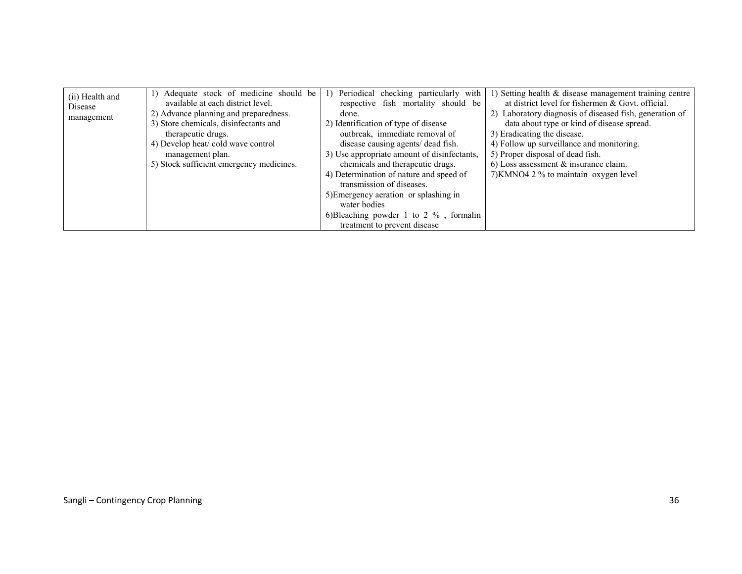| (ii) Health and<br>Disease<br>management | 1) Adequate stock of medicine should be<br>available at each district level.<br>2) Advance planning and preparedness.<br>3) Store chemicals, disinfectants and<br>therapeutic drugs.<br>4) Develop heat/cold wave control<br>management plan.<br>5) Stock sufficient emergency medicines. | Periodical checking particularly with<br>respective fish mortality should be<br>done.<br>2) Identification of type of disease<br>outbreak, immediate removal of<br>disease causing agents/ dead fish.<br>3) Use appropriate amount of disinfectants,<br>chemicals and therapeutic drugs. | 1) Setting health & disease management training centre<br>at district level for fishermen & Govt. official.<br>2) Laboratory diagnosis of diseased fish, generation of<br>data about type or kind of disease spread.<br>3) Eradicating the disease.<br>4) Follow up surveillance and monitoring.<br>5) Proper disposal of dead fish.<br>$6$ ) Loss assessment & insurance claim. |
|------------------------------------------|-------------------------------------------------------------------------------------------------------------------------------------------------------------------------------------------------------------------------------------------------------------------------------------------|------------------------------------------------------------------------------------------------------------------------------------------------------------------------------------------------------------------------------------------------------------------------------------------|----------------------------------------------------------------------------------------------------------------------------------------------------------------------------------------------------------------------------------------------------------------------------------------------------------------------------------------------------------------------------------|
|                                          |                                                                                                                                                                                                                                                                                           | 4) Determination of nature and speed of<br>transmission of diseases.                                                                                                                                                                                                                     | 7) KMNO4 2 % to maintain oxygen level                                                                                                                                                                                                                                                                                                                                            |
|                                          |                                                                                                                                                                                                                                                                                           | 5) Emergency aeration or splashing in<br>water bodies                                                                                                                                                                                                                                    |                                                                                                                                                                                                                                                                                                                                                                                  |
|                                          |                                                                                                                                                                                                                                                                                           | 6) Bleaching powder 1 to 2 $\%$ , formalin<br>treatment to prevent disease                                                                                                                                                                                                               |                                                                                                                                                                                                                                                                                                                                                                                  |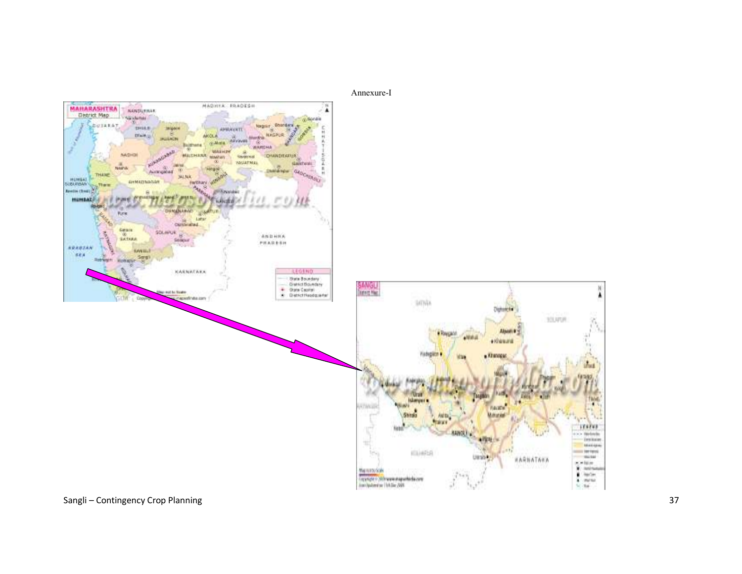